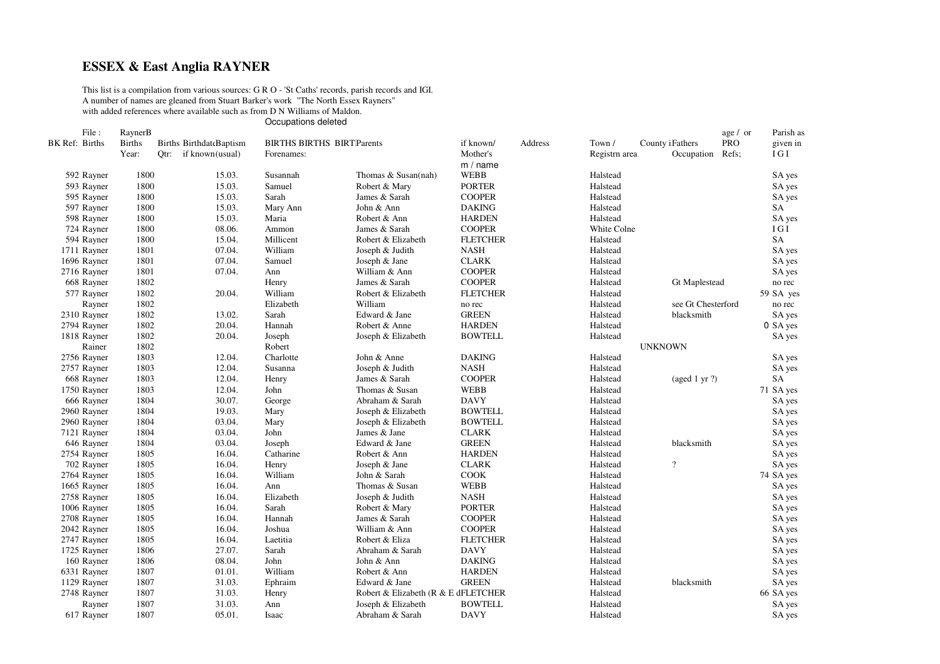## **ESSEX & East Anglia RAYNER**

This list is <sup>a</sup> compilation from various sources: G R O - 'St Caths' records, parish records and IGI. A number of names are gleaned from Stuart Barker's work "The North Essex Rayners" with added references where available such as from D N Williams of Maldon.

Occupations deleted

| File:          | RaynerB       |                                |                                  |                                     |                 |         |               |                      | age / or | Parish as |
|----------------|---------------|--------------------------------|----------------------------------|-------------------------------------|-----------------|---------|---------------|----------------------|----------|-----------|
| BK Ref: Births | <b>Births</b> | <b>Births BirthdateBaptism</b> | <b>BIRTHS BIRTHS BIRTParents</b> |                                     | if known/       | Address | Town /        | County iFathers      | PRO      | given in  |
|                | Year:         | Otr:<br>if known (usual)       | Forenames:                       |                                     | Mother's        |         | Registrn area | Occupation           | Refs;    | IGI       |
|                |               |                                |                                  |                                     | m / name        |         |               |                      |          |           |
| 592 Rayner     | 1800          | 15.03.                         | Susannah                         | Thomas & Susan(nah)                 | <b>WEBB</b>     |         | Halstead      |                      |          | SA yes    |
| 593 Rayner     | 1800          | 15.03.                         | Samuel                           | Robert & Mary                       | <b>PORTER</b>   |         | Halstead      |                      |          | SA yes    |
| 595 Rayner     | 1800          | 15.03.                         | Sarah                            | James & Sarah                       | <b>COOPER</b>   |         | Halstead      |                      |          | SA yes    |
| 597 Rayner     | 1800          | 15.03.                         | Mary Ann                         | John & Ann                          | <b>DAKING</b>   |         | Halstead      |                      |          | SA        |
| 598 Rayner     | 1800          | 15.03.                         | Maria                            | Robert & Ann                        | <b>HARDEN</b>   |         | Halstead      |                      |          | SA yes    |
| 724 Rayner     | 1800          | 08.06.                         | Ammon                            | James & Sarah                       | <b>COOPER</b>   |         | White Colne   |                      |          | IGI       |
| 594 Rayner     | 1800          | 15.04.                         | Millicent                        | Robert & Elizabeth                  | <b>FLETCHER</b> |         | Halstead      |                      |          | SA        |
| 1711 Rayner    | 1801          | 07.04.                         | William                          | Joseph & Judith                     | <b>NASH</b>     |         | Halstead      |                      |          | SA yes    |
| 1696 Rayner    | 1801          | 07.04.                         | Samuel                           | Joseph & Jane                       | <b>CLARK</b>    |         | Halstead      |                      |          | SA yes    |
| 2716 Rayner    | 1801          | 07.04.                         | Ann                              | William & Ann                       | <b>COOPER</b>   |         | Halstead      |                      |          | SA yes    |
| 668 Rayner     | 1802          |                                | Henry                            | James & Sarah                       | <b>COOPER</b>   |         | Halstead      | <b>Gt Maplestead</b> |          | no rec    |
| 577 Rayner     | 1802          | 20.04.                         | William                          | Robert & Elizabeth                  | <b>FLETCHER</b> |         | Halstead      |                      |          | 59 SA yes |
| Rayner         | 1802          |                                | Elizabeth                        | William                             | no rec          |         | Halstead      | see Gt Chesterford   |          | no rec    |
| 2310 Rayner    | 1802          | 13.02.                         | Sarah                            | Edward & Jane                       | <b>GREEN</b>    |         | Halstead      | blacksmith           |          | SA yes    |
| 2794 Rayner    | 1802          | 20.04.                         | Hannah                           | Robert & Anne                       | <b>HARDEN</b>   |         | Halstead      |                      |          | 0 SA yes  |
| 1818 Rayner    | 1802          | 20.04.                         | Joseph                           | Joseph & Elizabeth                  | <b>BOWTELL</b>  |         | Halstead      |                      |          | SA yes    |
| Rainer         | 1802          |                                | Robert                           |                                     |                 |         |               | <b>UNKNOWN</b>       |          |           |
| 2756 Rayner    | 1803          | 12.04.                         | Charlotte                        | John & Anne                         | <b>DAKING</b>   |         | Halstead      |                      |          | SA yes    |
| 2757 Rayner    | 1803          | 12.04.                         | Susanna                          | Joseph & Judith                     | <b>NASH</b>     |         | Halstead      |                      |          | SA yes    |
| 668 Rayner     | 1803          | 12.04.                         | Henry                            | James & Sarah                       | <b>COOPER</b>   |         | Halstead      | (aged 1 yr $?$ )     |          | SA        |
| 1750 Rayner    | 1803          | 12.04.                         | John                             | Thomas & Susan                      | <b>WEBB</b>     |         | Halstead      |                      |          | 71 SA yes |
| 666 Rayner     | 1804          | 30.07.                         | George                           | Abraham & Sarah                     | <b>DAVY</b>     |         | Halstead      |                      |          | SA yes    |
| 2960 Rayner    | 1804          | 19.03.                         | Mary                             | Joseph & Elizabeth                  | <b>BOWTELL</b>  |         | Halstead      |                      |          | SA yes    |
| 2960 Rayner    | 1804          | 03.04.                         | Mary                             | Joseph & Elizabeth                  | <b>BOWTELL</b>  |         | Halstead      |                      |          | SA yes    |
| 7121 Rayner    | 1804          | 03.04.                         | John                             | James & Jane                        | <b>CLARK</b>    |         | Halstead      |                      |          | SA yes    |
| 646 Rayner     | 1804          | 03.04.                         | Joseph                           | Edward & Jane                       | <b>GREEN</b>    |         | Halstead      | blacksmith           |          | SA yes    |
| 2754 Rayner    | 1805          | 16.04.                         | Catharine                        | Robert & Ann                        | <b>HARDEN</b>   |         | Halstead      |                      |          | SA yes    |
| 702 Rayner     | 1805          | 16.04.                         | Henry                            | Joseph & Jane                       | <b>CLARK</b>    |         | Halstead      | $\overline{?}$       |          | SA yes    |
| 2764 Rayner    | 1805          | 16.04.                         | William                          | John & Sarah                        | COOK            |         | Halstead      |                      |          | 74 SA yes |
| 1665 Rayner    | 1805          | 16.04.                         | Ann                              | Thomas & Susan                      | <b>WEBB</b>     |         | Halstead      |                      |          | SA yes    |
| 2758 Rayner    | 1805          | 16.04.                         | Elizabeth                        | Joseph & Judith                     | <b>NASH</b>     |         | Halstead      |                      |          | SA yes    |
| 1006 Rayner    | 1805          | 16.04.                         | Sarah                            | Robert & Mary                       | <b>PORTER</b>   |         | Halstead      |                      |          | SA yes    |
| 2708 Rayner    | 1805          | 16.04.                         | Hannah                           | James & Sarah                       | <b>COOPER</b>   |         | Halstead      |                      |          | SA yes    |
| 2042 Rayner    | 1805          | 16.04.                         | Joshua                           | William & Ann                       | <b>COOPER</b>   |         | Halstead      |                      |          | SA yes    |
| 2747 Rayner    | 1805          | 16.04.                         | Laetitia                         | Robert & Eliza                      | <b>FLETCHER</b> |         | Halstead      |                      |          | SA yes    |
| 1725 Rayner    | 1806          | 27.07.                         | Sarah                            | Abraham & Sarah                     | <b>DAVY</b>     |         | Halstead      |                      |          | SA yes    |
| 160 Rayner     | 1806          | 08.04.                         | John                             | John & Ann                          | <b>DAKING</b>   |         | Halstead      |                      |          | SA yes    |
| 6331 Rayner    | 1807          | 01.01.                         | William                          | Robert & Ann                        | <b>HARDEN</b>   |         | Halstead      |                      |          | SA yes    |
| 1129 Rayner    | 1807          | 31.03.                         | Ephraim                          | Edward & Jane                       | <b>GREEN</b>    |         | Halstead      | blacksmith           |          | SA yes    |
| 2748 Rayner    | 1807          | 31.03.                         | Henry                            | Robert & Elizabeth (R & E dFLETCHER |                 |         | Halstead      |                      |          | 66 SA yes |
| Rayner         | 1807          | 31.03.                         | Ann                              | Joseph & Elizabeth                  | <b>BOWTELL</b>  |         | Halstead      |                      |          | SA yes    |
| 617 Rayner     | 1807          | 05.01.                         | <b>Isaac</b>                     | Abraham & Sarah                     | <b>DAVY</b>     |         | Halstead      |                      |          | SA yes    |
|                |               |                                |                                  |                                     |                 |         |               |                      |          |           |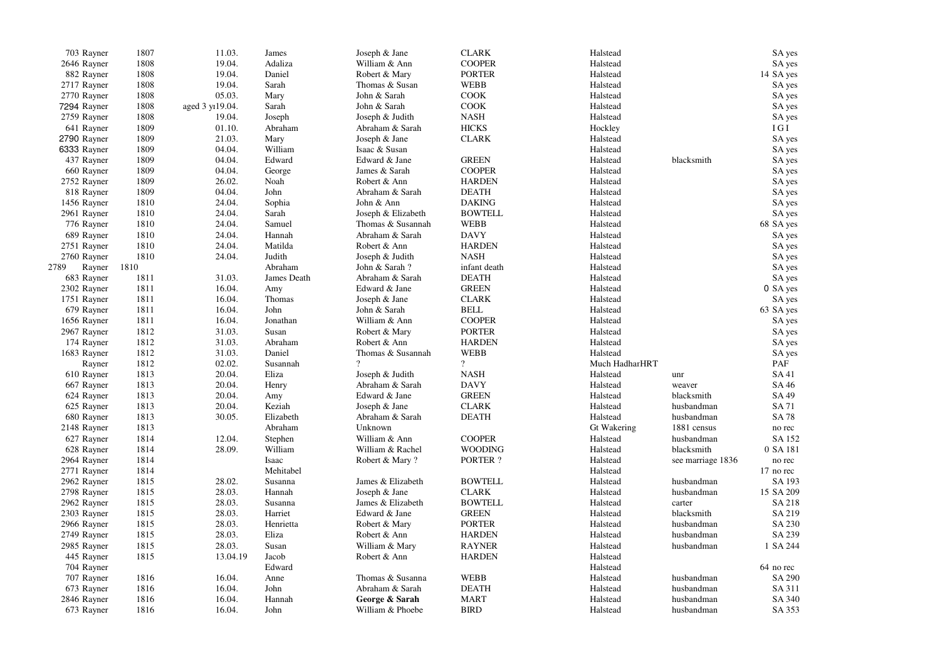| 703 Rayner     | 1807 | 11.03.           | James       | Joseph & Jane      | <b>CLARK</b>   | Halstead       |                   | SA yes    |
|----------------|------|------------------|-------------|--------------------|----------------|----------------|-------------------|-----------|
| 2646 Rayner    | 1808 | 19.04.           | Adaliza     | William & Ann      | <b>COOPER</b>  | Halstead       |                   | SA yes    |
| 882 Rayner     | 1808 | 19.04.           | Daniel      | Robert & Mary      | <b>PORTER</b>  | Halstead       |                   | 14 SA yes |
| 2717 Rayner    | 1808 | 19.04.           | Sarah       | Thomas & Susan     | <b>WEBB</b>    | Halstead       |                   | SA yes    |
| 2770 Rayner    | 1808 | 05.03.           | Mary        | John & Sarah       | <b>COOK</b>    | Halstead       |                   | SA yes    |
| 7294 Rayner    | 1808 | aged 3 yr 19.04. | Sarah       | John & Sarah       | <b>COOK</b>    | Halstead       |                   | SA yes    |
| 2759 Rayner    | 1808 | 19.04.           | Joseph      | Joseph & Judith    | <b>NASH</b>    | Halstead       |                   | SA yes    |
| 641 Rayner     | 1809 | 01.10.           | Abraham     | Abraham & Sarah    | <b>HICKS</b>   | Hockley        |                   | I G I     |
| 2790 Rayner    | 1809 | 21.03.           | Mary        | Joseph & Jane      | <b>CLARK</b>   | Halstead       |                   | SA yes    |
| 6333 Rayner    | 1809 | 04.04.           | William     | Isaac & Susan      |                | Halstead       |                   | SA yes    |
| 437 Rayner     | 1809 | 04.04.           | Edward      | Edward & Jane      | <b>GREEN</b>   | Halstead       | blacksmith        | SA yes    |
| 660 Rayner     | 1809 | 04.04.           | George      | James & Sarah      | <b>COOPER</b>  | Halstead       |                   | SA yes    |
| 2752 Rayner    | 1809 | 26.02.           | Noah        | Robert & Ann       | <b>HARDEN</b>  | Halstead       |                   | SA yes    |
| 818 Rayner     | 1809 | 04.04.           | John        | Abraham & Sarah    | <b>DEATH</b>   | Halstead       |                   | SA yes    |
| 1456 Rayner    | 1810 | 24.04.           | Sophia      | John & Ann         | <b>DAKING</b>  | Halstead       |                   | SA yes    |
| 2961 Rayner    | 1810 | 24.04.           | Sarah       | Joseph & Elizabeth | <b>BOWTELL</b> | Halstead       |                   | SA yes    |
| 776 Rayner     | 1810 | 24.04.           | Samuel      | Thomas & Susannah  | WEBB           | Halstead       |                   | 68 SA yes |
| 689 Rayner     | 1810 | 24.04.           | Hannah      | Abraham & Sarah    | <b>DAVY</b>    | Halstead       |                   | SA yes    |
| 2751 Rayner    | 1810 | 24.04.           | Matilda     | Robert & Ann       | <b>HARDEN</b>  | Halstead       |                   | SA yes    |
| 2760 Rayner    | 1810 | 24.04.           | Judith      | Joseph & Judith    | <b>NASH</b>    | Halstead       |                   | SA yes    |
| 2789<br>Rayner | 1810 |                  | Abraham     | John & Sarah?      | infant death   | Halstead       |                   | SA yes    |
| 683 Rayner     | 1811 | 31.03.           | James Death | Abraham & Sarah    | <b>DEATH</b>   | Halstead       |                   | SA yes    |
| 2302 Rayner    | 1811 | 16.04.           | Amy         | Edward & Jane      | <b>GREEN</b>   | Halstead       |                   | 0 SA yes  |
| 1751 Rayner    | 1811 | 16.04.           | Thomas      | Joseph & Jane      | <b>CLARK</b>   | Halstead       |                   | SA yes    |
| 679 Rayner     | 1811 | 16.04.           | John        | John & Sarah       | <b>BELL</b>    | Halstead       |                   | 63 SA yes |
| 1656 Rayner    | 1811 | 16.04.           | Jonathan    | William & Ann      | <b>COOPER</b>  | Halstead       |                   | SA yes    |
| 2967 Rayner    | 1812 | 31.03.           | Susan       | Robert & Mary      | <b>PORTER</b>  | Halstead       |                   | SA yes    |
| 174 Rayner     | 1812 | 31.03.           | Abraham     | Robert & Ann       | <b>HARDEN</b>  | Halstead       |                   | SA yes    |
| 1683 Rayner    | 1812 | 31.03.           | Daniel      | Thomas & Susannah  | <b>WEBB</b>    | Halstead       |                   | SA yes    |
| Rayner         | 1812 | 02.02.           | Susannah    |                    | $\overline{?}$ | Much HadharHRT |                   | PAF       |
| 610 Rayner     | 1813 | 20.04.           | Eliza       | Joseph & Judith    | <b>NASH</b>    | Halstead       | unr               | SA 41     |
| 667 Rayner     | 1813 | 20.04.           | Henry       | Abraham & Sarah    | <b>DAVY</b>    | Halstead       | weaver            | SA 46     |
| 624 Rayner     | 1813 | 20.04.           | Amy         | Edward & Jane      | <b>GREEN</b>   | Halstead       | blacksmith        | SA 49     |
| 625 Rayner     | 1813 | 20.04.           | Keziah      | Joseph & Jane      | <b>CLARK</b>   | Halstead       | husbandman        | SA 71     |
| 680 Rayner     | 1813 | 30.05.           | Elizabeth   | Abraham & Sarah    | <b>DEATH</b>   | Halstead       | husbandman        | SA 78     |
| 2148 Rayner    | 1813 |                  | Abraham     | Unknown            |                | Gt Wakering    | 1881 census       | no rec    |
| 627 Rayner     | 1814 | 12.04.           | Stephen     | William & Ann      | <b>COOPER</b>  | Halstead       | husbandman        | SA 152    |
| 628 Rayner     | 1814 | 28.09.           | William     | William & Rachel   | <b>WOODING</b> | Halstead       | blacksmith        | 0 SA 181  |
| 2964 Rayner    | 1814 |                  | Isaac       |                    | PORTER ?       | Halstead       |                   | no rec    |
| 2771 Rayner    | 1814 |                  | Mehitabel   | Robert & Mary?     |                | Halstead       | see marriage 1836 | 17 no rec |
|                |      |                  |             |                    |                |                |                   |           |
| 2962 Rayner    | 1815 | 28.02.           | Susanna     | James & Elizabeth  | <b>BOWTELL</b> | Halstead       | husbandman        | SA 193    |
| 2798 Rayner    | 1815 | 28.03.           | Hannah      | Joseph & Jane      | <b>CLARK</b>   | Halstead       | husbandman        | 15 SA 209 |
| 2962 Rayner    | 1815 | 28.03.           | Susanna     | James & Elizabeth  | <b>BOWTELL</b> | Halstead       | carter            | SA 218    |
| 2303 Rayner    | 1815 | 28.03.           | Harriet     | Edward & Jane      | <b>GREEN</b>   | Halstead       | blacksmith        | SA 219    |
| 2966 Rayner    | 1815 | 28.03.           | Henrietta   | Robert & Mary      | <b>PORTER</b>  | Halstead       | husbandman        | SA 230    |
| 2749 Rayner    | 1815 | 28.03.           | Eliza       | Robert & Ann       | <b>HARDEN</b>  | Halstead       | husbandman        | SA 239    |
| 2985 Rayner    | 1815 | 28.03.           | Susan       | William & Mary     | <b>RAYNER</b>  | Halstead       | husbandman        | 1 SA 244  |
| 445 Rayner     | 1815 | 13.04.19         | Jacob       | Robert & Ann       | <b>HARDEN</b>  | Halstead       |                   |           |
| 704 Rayner     |      |                  | Edward      |                    |                | Halstead       |                   | 64 no rec |
| 707 Rayner     | 1816 | 16.04.           | Anne        | Thomas & Susanna   | <b>WEBB</b>    | Halstead       | husbandman        | SA 290    |
| 673 Rayner     | 1816 | 16.04.           | John        | Abraham & Sarah    | <b>DEATH</b>   | Halstead       | husbandman        | SA 311    |
| 2846 Rayner    | 1816 | 16.04.           | Hannah      | George & Sarah     | <b>MART</b>    | Halstead       | husbandman        | SA 340    |
| 673 Rayner     | 1816 | 16.04.           | John        | William & Phoebe   | <b>BIRD</b>    | Halstead       | husbandman        | SA 353    |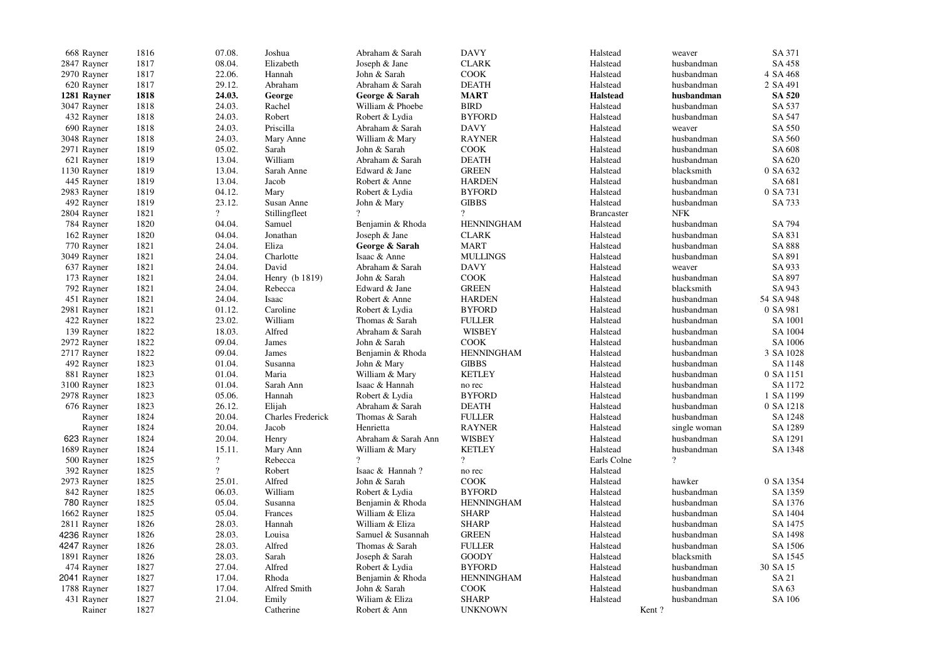| 668 Rayner  | 1816 | 07.08.         | Joshua                   | Abraham & Sarah     | <b>DAVY</b>       | Halstead          | weaver         | SA 371        |
|-------------|------|----------------|--------------------------|---------------------|-------------------|-------------------|----------------|---------------|
| 2847 Rayner | 1817 | 08.04.         | Elizabeth                | Joseph & Jane       | <b>CLARK</b>      | Halstead          | husbandman     | SA 458        |
| 2970 Rayner | 1817 | 22.06.         | Hannah                   | John & Sarah        | <b>COOK</b>       | Halstead          | husbandman     | 4 SA 468      |
| 620 Rayner  | 1817 | 29.12.         | Abraham                  | Abraham & Sarah     | <b>DEATH</b>      | Halstead          | husbandman     | 2 SA 491      |
| 1281 Rayner | 1818 | 24.03.         | George                   | George & Sarah      | <b>MART</b>       | <b>Halstead</b>   | husbandman     | <b>SA 520</b> |
| 3047 Rayner | 1818 | 24.03.         | Rachel                   | William & Phoebe    | <b>BIRD</b>       | Halstead          | husbandman     | SA 537        |
| 432 Rayner  | 1818 | 24.03.         | Robert                   | Robert & Lydia      | <b>BYFORD</b>     | Halstead          | husbandman     | SA 547        |
| 690 Rayner  | 1818 | 24.03.         | Priscilla                | Abraham & Sarah     | <b>DAVY</b>       | Halstead          | weaver         | SA 550        |
| 3048 Rayner | 1818 | 24.03.         | Mary Anne                | William & Mary      | <b>RAYNER</b>     | Halstead          | husbandman     | SA 560        |
| 2971 Rayner | 1819 | 05.02.         | Sarah                    | John & Sarah        | <b>COOK</b>       | Halstead          | husbandman     | SA 608        |
| 621 Rayner  | 1819 | 13.04.         | William                  | Abraham & Sarah     | <b>DEATH</b>      | Halstead          | husbandman     | SA 620        |
| 1130 Rayner | 1819 | 13.04.         | Sarah Anne               | Edward & Jane       | <b>GREEN</b>      | Halstead          | blacksmith     | 0 SA 632      |
| 445 Rayner  | 1819 | 13.04.         | Jacob                    | Robert & Anne       | <b>HARDEN</b>     | Halstead          | husbandman     | SA 681        |
| 2983 Rayner | 1819 | 04.12.         | Mary                     | Robert & Lydia      | <b>BYFORD</b>     | Halstead          | husbandman     | 0 SA 731      |
| 492 Rayner  | 1819 | 23.12.         | Susan Anne               | John & Mary         | <b>GIBBS</b>      | Halstead          | husbandman     | SA 733        |
| 2804 Rayner | 1821 | $\overline{?}$ | Stillingfleet            | $\gamma$            | $\gamma$          | <b>Brancaster</b> | <b>NFK</b>     |               |
| 784 Rayner  | 1820 | 04.04.         | Samuel                   | Benjamin & Rhoda    | <b>HENNINGHAM</b> | Halstead          | husbandman     | SA 794        |
|             | 1820 |                | Jonathan                 |                     | <b>CLARK</b>      |                   |                |               |
| 162 Rayner  |      | 04.04.         |                          | Joseph & Jane       |                   | Halstead          | husbandman     | SA 831        |
| 770 Rayner  | 1821 | 24.04.         | Eliza                    | George & Sarah      | <b>MART</b>       | Halstead          | husbandman     | SA 888        |
| 3049 Rayner | 1821 | 24.04.         | Charlotte                | Isaac & Anne        | <b>MULLINGS</b>   | Halstead          | husbandman     | SA 891        |
| 637 Rayner  | 1821 | 24.04.         | David                    | Abraham & Sarah     | <b>DAVY</b>       | Halstead          | weaver         | SA 933        |
| 173 Rayner  | 1821 | 24.04.         | Henry (b 1819)           | John & Sarah        | <b>COOK</b>       | Halstead          | husbandman     | SA 897        |
| 792 Rayner  | 1821 | 24.04.         | Rebecca                  | Edward & Jane       | <b>GREEN</b>      | Halstead          | blacksmith     | SA 943        |
| 451 Rayner  | 1821 | 24.04.         | Isaac                    | Robert & Anne       | <b>HARDEN</b>     | Halstead          | husbandman     | 54 SA 948     |
| 2981 Rayner | 1821 | 01.12.         | Caroline                 | Robert & Lydia      | <b>BYFORD</b>     | Halstead          | husbandman     | 0 SA 981      |
| 422 Rayner  | 1822 | 23.02.         | William                  | Thomas & Sarah      | <b>FULLER</b>     | Halstead          | husbandman     | SA 1001       |
| 139 Rayner  | 1822 | 18.03.         | Alfred                   | Abraham & Sarah     | <b>WISBEY</b>     | Halstead          | husbandman     | SA 1004       |
| 2972 Rayner | 1822 | 09.04.         | James                    | John & Sarah        | <b>COOK</b>       | Halstead          | husbandman     | SA 1006       |
| 2717 Rayner | 1822 | 09.04.         | James                    | Benjamin & Rhoda    | <b>HENNINGHAM</b> | Halstead          | husbandman     | 3 SA 1028     |
| 492 Rayner  | 1823 | 01.04.         | Susanna                  | John & Mary         | <b>GIBBS</b>      | Halstead          | husbandman     | SA 1148       |
| 881 Rayner  | 1823 | 01.04.         | Maria                    | William & Mary      | <b>KETLEY</b>     | Halstead          | husbandman     | 0 SA 1151     |
| 3100 Rayner | 1823 | 01.04.         | Sarah Ann                | Isaac & Hannah      | no rec            | Halstead          | husbandman     | SA 1172       |
| 2978 Rayner | 1823 | 05.06.         | Hannah                   | Robert & Lydia      | <b>BYFORD</b>     | Halstead          | husbandman     | 1 SA 1199     |
| 676 Rayner  | 1823 | 26.12.         | Elijah                   | Abraham & Sarah     | <b>DEATH</b>      | Halstead          | husbandman     | 0 SA 1218     |
| Rayner      | 1824 | 20.04.         | <b>Charles Frederick</b> | Thomas & Sarah      | <b>FULLER</b>     | Halstead          | husbandman     | SA 1248       |
| Rayner      | 1824 | 20.04.         | Jacob                    | Henrietta           | <b>RAYNER</b>     | Halstead          | single woman   | SA 1289       |
| 623 Rayner  | 1824 | 20.04.         | Henry                    | Abraham & Sarah Ann | <b>WISBEY</b>     | Halstead          | husbandman     | SA 1291       |
| 1689 Rayner | 1824 | 15.11.         | Mary Ann                 | William & Mary      | <b>KETLEY</b>     | Halstead          | husbandman     | SA 1348       |
| 500 Rayner  | 1825 | $\overline{?}$ | Rebecca                  | $\gamma$            | $\overline{?}$    | Earls Colne       | $\overline{?}$ |               |
| 392 Rayner  | 1825 | $\overline{?}$ | Robert                   | Isaac & Hannah?     | no rec            | Halstead          |                |               |
| 2973 Rayner | 1825 | 25.01.         | Alfred                   | John & Sarah        | <b>COOK</b>       | Halstead          | hawker         | 0 SA 1354     |
| 842 Rayner  | 1825 | 06.03.         | William                  | Robert & Lydia      | <b>BYFORD</b>     | Halstead          | husbandman     | SA 1359       |
| 780 Rayner  | 1825 | 05.04.         | Susanna                  | Benjamin & Rhoda    | <b>HENNINGHAM</b> | Halstead          | husbandman     | SA 1376       |
| 1662 Rayner | 1825 | 05.04.         | Frances                  | William & Eliza     | <b>SHARP</b>      | Halstead          | husbandman     | SA 1404       |
| 2811 Rayner | 1826 | 28.03.         | Hannah                   | William & Eliza     | <b>SHARP</b>      | Halstead          | husbandman     | SA 1475       |
| 4236 Rayner | 1826 | 28.03.         | Louisa                   | Samuel & Susannah   | <b>GREEN</b>      | Halstead          | husbandman     | SA 1498       |
| 4247 Rayner | 1826 | 28.03.         | Alfred                   | Thomas & Sarah      | <b>FULLER</b>     | Halstead          | husbandman     | SA 1506       |
| 1891 Rayner | 1826 | 28.03.         | Sarah                    | Joseph & Sarah      | <b>GOODY</b>      | Halstead          | blacksmith     | SA 1545       |
| 474 Rayner  | 1827 | 27.04.         | Alfred                   | Robert & Lydia      | <b>BYFORD</b>     | Halstead          | husbandman     | 30 SA 15      |
| 2041 Rayner | 1827 | 17.04.         | Rhoda                    | Benjamin & Rhoda    | <b>HENNINGHAM</b> | Halstead          | husbandman     | SA 21         |
| 1788 Rayner | 1827 | 17.04.         | Alfred Smith             | John & Sarah        | <b>COOK</b>       | Halstead          | husbandman     | SA 63         |
| 431 Rayner  | 1827 | 21.04.         | Emily                    | Wiliam & Eliza      | <b>SHARP</b>      | Halstead          | husbandman     | SA 106        |
| Rainer      | 1827 |                | Catherine                | Robert & Ann        | <b>UNKNOWN</b>    | Kent?             |                |               |
|             |      |                |                          |                     |                   |                   |                |               |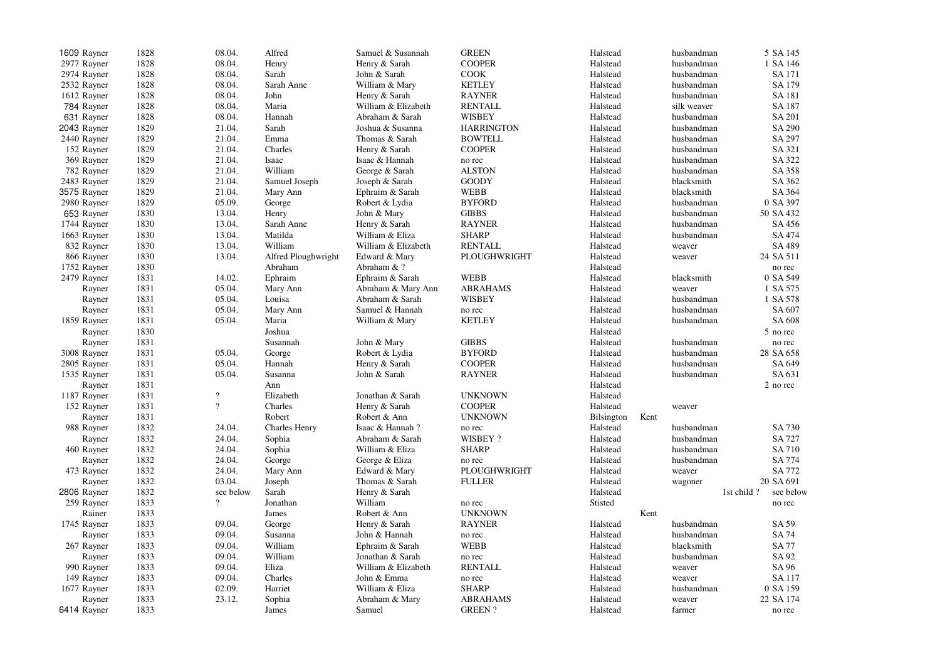| 1609 Rayner | 1828 | 08.04.         | Alfred               | Samuel & Susannah   | <b>GREEN</b>      | Halstead   |      | husbandman  | 5 SA 145                |
|-------------|------|----------------|----------------------|---------------------|-------------------|------------|------|-------------|-------------------------|
| 2977 Rayner | 1828 | 08.04.         | Henry                | Henry & Sarah       | <b>COOPER</b>     | Halstead   |      | husbandman  | 1 SA 146                |
| 2974 Rayner | 1828 | 08.04.         | Sarah                | John & Sarah        | <b>COOK</b>       | Halstead   |      | husbandman  | SA 171                  |
| 2532 Rayner | 1828 | 08.04.         | Sarah Anne           | William & Mary      | <b>KETLEY</b>     | Halstead   |      | husbandman  | SA 179                  |
| 1612 Rayner | 1828 | 08.04.         | John                 | Henry & Sarah       | <b>RAYNER</b>     | Halstead   |      | husbandman  | SA 181                  |
| 784 Rayner  | 1828 | 08.04.         | Maria                | William & Elizabeth | <b>RENTALL</b>    | Halstead   |      | silk weaver | SA 187                  |
| 631 Rayner  | 1828 | 08.04.         | Hannah               | Abraham & Sarah     | <b>WISBEY</b>     | Halstead   |      | husbandman  | SA 201                  |
| 2043 Rayner | 1829 | 21.04.         | Sarah                | Joshua & Susanna    | <b>HARRINGTON</b> | Halstead   |      | husbandman  | SA 290                  |
| 2440 Rayner | 1829 | 21.04.         | Emma                 | Thomas & Sarah      | <b>BOWTELL</b>    | Halstead   |      | husbandman  | SA 297                  |
| 152 Rayner  | 1829 | 21.04.         | Charles              | Henry & Sarah       | <b>COOPER</b>     | Halstead   |      | husbandman  | SA 321                  |
| 369 Rayner  | 1829 | 21.04.         | Isaac                | Isaac & Hannah      | no rec            | Halstead   |      | husbandman  | SA 322                  |
| 782 Rayner  | 1829 | 21.04.         | William              | George & Sarah      | <b>ALSTON</b>     | Halstead   |      | husbandman  | SA 358                  |
|             |      |                |                      |                     |                   |            |      |             |                         |
| 2483 Rayner | 1829 | 21.04.         | Samuel Joseph        | Joseph & Sarah      | <b>GOODY</b>      | Halstead   |      | blacksmith  | SA 362                  |
| 3575 Rayner | 1829 | 21.04.         | Mary Ann             | Ephraim & Sarah     | WEBB              | Halstead   |      | blacksmith  | SA 364                  |
| 2980 Rayner | 1829 | 05.09.         | George               | Robert & Lydia      | <b>BYFORD</b>     | Halstead   |      | husbandman  | 0 SA 397                |
| 653 Rayner  | 1830 | 13.04.         | Henry                | John & Mary         | <b>GIBBS</b>      | Halstead   |      | husbandman  | 50 SA 432               |
| 1744 Rayner | 1830 | 13.04.         | Sarah Anne           | Henry & Sarah       | <b>RAYNER</b>     | Halstead   |      | husbandman  | SA 456                  |
| 1663 Rayner | 1830 | 13.04.         | Matilda              | William & Eliza     | <b>SHARP</b>      | Halstead   |      | husbandman  | SA 474                  |
| 832 Rayner  | 1830 | 13.04.         | William              | William & Elizabeth | <b>RENTALL</b>    | Halstead   |      | weaver      | SA 489                  |
| 866 Rayner  | 1830 | 13.04.         | Alfred Ploughwright  | Edward & Mary       | PLOUGHWRIGHT      | Halstead   |      | weaver      | 24 SA 511               |
| 1752 Rayner | 1830 |                | Abraham              | Abraham & ?         |                   | Halstead   |      |             | no rec                  |
| 2479 Rayner | 1831 | 14.02.         | Ephraim              | Ephraim & Sarah     | <b>WEBB</b>       | Halstead   |      | blacksmith  | 0 SA 549                |
| Rayner      | 1831 | 05.04.         | Mary Ann             | Abraham & Mary Ann  | <b>ABRAHAMS</b>   | Halstead   |      | weaver      | 1 SA 575                |
| Rayner      | 1831 | 05.04.         | Louisa               | Abraham & Sarah     | <b>WISBEY</b>     | Halstead   |      | husbandman  | 1 SA 578                |
| Rayner      | 1831 | 05.04.         | Mary Ann             | Samuel & Hannah     | no rec            | Halstead   |      | husbandman  | SA 607                  |
| 1859 Rayner | 1831 | 05.04.         | Maria                | William & Mary      | <b>KETLEY</b>     | Halstead   |      | husbandman  | SA 608                  |
| Rayner      | 1830 |                | Joshua               |                     |                   | Halstead   |      |             | 5 no rec                |
| Rayner      | 1831 |                | Susannah             | John & Mary         | <b>GIBBS</b>      | Halstead   |      | husbandman  | no rec                  |
| 3008 Rayner | 1831 | 05.04.         | George               | Robert & Lydia      | <b>BYFORD</b>     | Halstead   |      | husbandman  | 28 SA 658               |
| 2805 Rayner | 1831 | 05.04.         | Hannah               | Henry & Sarah       | <b>COOPER</b>     | Halstead   |      | husbandman  | SA 649                  |
| 1535 Rayner | 1831 | 05.04.         | Susanna              | John & Sarah        | <b>RAYNER</b>     | Halstead   |      | husbandman  | SA 631                  |
| Rayner      | 1831 |                | Ann                  |                     |                   | Halstead   |      |             | 2 no rec                |
| 1187 Rayner | 1831 | $\overline{?}$ | Elizabeth            | Jonathan & Sarah    | <b>UNKNOWN</b>    | Halstead   |      |             |                         |
|             | 1831 | $\overline{?}$ | Charles              |                     | <b>COOPER</b>     |            |      |             |                         |
| 152 Rayner  |      |                |                      | Henry & Sarah       |                   | Halstead   |      | weaver      |                         |
| Rayner      | 1831 |                | Robert               | Robert & Ann        | <b>UNKNOWN</b>    | Bilsington | Kent |             |                         |
| 988 Rayner  | 1832 | 24.04.         | <b>Charles Henry</b> | Isaac & Hannah?     | no rec            | Halstead   |      | husbandman  | SA 730                  |
| Rayner      | 1832 | 24.04.         | Sophia               | Abraham & Sarah     | WISBEY ?          | Halstead   |      | husbandman  | <b>SA 727</b>           |
| 460 Rayner  | 1832 | 24.04.         | Sophia               | William & Eliza     | <b>SHARP</b>      | Halstead   |      | husbandman  | SA 710                  |
| Rayner      | 1832 | 24.04.         | George               | George & Eliza      | no rec            | Halstead   |      | husbandman  | <b>SA 774</b>           |
| 473 Rayner  | 1832 | 24.04.         | Mary Ann             | Edward & Mary       | PLOUGHWRIGHT      | Halstead   |      | weaver      | SA 772                  |
| Rayner      | 1832 | 03.04.         | Joseph               | Thomas & Sarah      | <b>FULLER</b>     | Halstead   |      | wagoner     | 20 SA 691               |
| 2806 Rayner | 1832 | see below      | Sarah                | Henry & Sarah       |                   | Halstead   |      |             | 1st child?<br>see below |
| 259 Rayner  | 1833 | $\overline{?}$ | Jonathan             | William             | no rec            | Stisted    |      |             | no rec                  |
| Rainer      | 1833 |                | James                | Robert & Ann        | <b>UNKNOWN</b>    |            | Kent |             |                         |
| 1745 Rayner | 1833 | 09.04.         | George               | Henry & Sarah       | <b>RAYNER</b>     | Halstead   |      | husbandman  | SA 59                   |
| Rayner      | 1833 | 09.04.         | Susanna              | John & Hannah       | no rec            | Halstead   |      | husbandman  | SA 74                   |
| 267 Rayner  | 1833 | 09.04.         | William              | Ephraim & Sarah     | <b>WEBB</b>       | Halstead   |      | blacksmith  | <b>SA 77</b>            |
| Rayner      | 1833 | 09.04.         | William              | Jonathan & Sarah    | no rec            | Halstead   |      | husbandman  | SA 92                   |
| 990 Rayner  | 1833 | 09.04.         | Eliza                | William & Elizabeth | <b>RENTALL</b>    | Halstead   |      | weaver      | SA 96                   |
| 149 Rayner  | 1833 | 09.04.         | Charles              | John & Emma         | no rec            | Halstead   |      | weaver      | SA 117                  |
| 1677 Rayner | 1833 | 02.09.         | Harriet              | William & Eliza     | <b>SHARP</b>      | Halstead   |      | husbandman  | 0 SA 159                |
| Rayner      | 1833 | 23.12.         | Sophia               | Abraham & Mary      | <b>ABRAHAMS</b>   | Halstead   |      | weaver      | 22 SA 174               |
| 6414 Rayner | 1833 |                | James                | Samuel              | <b>GREEN?</b>     | Halstead   |      | farmer      | no rec                  |
|             |      |                |                      |                     |                   |            |      |             |                         |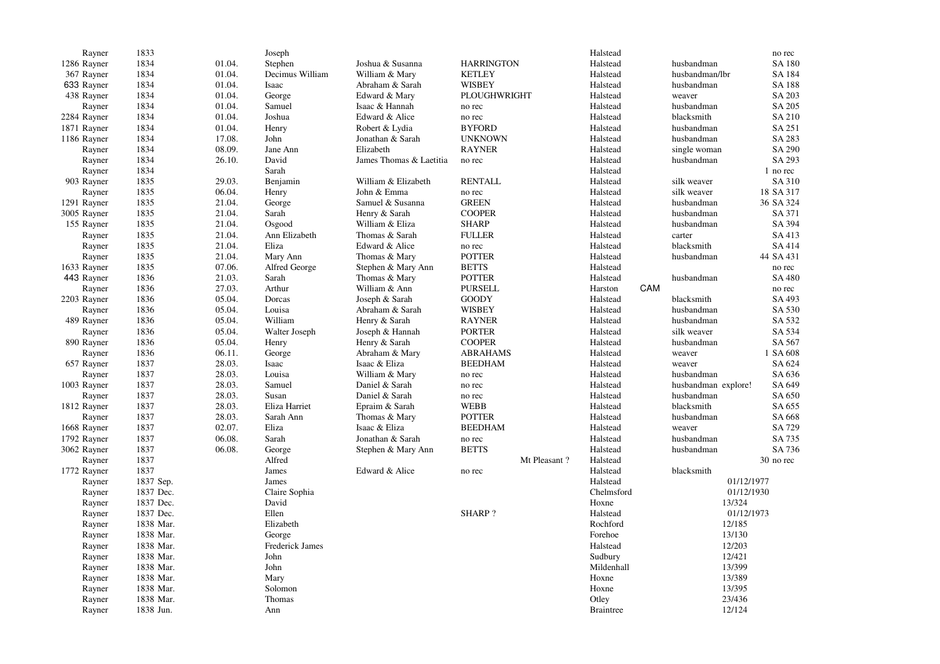| Rayner      | 1833      |        | Joseph          |                         |                   |              | Halstead         |     |                     | no rec        |
|-------------|-----------|--------|-----------------|-------------------------|-------------------|--------------|------------------|-----|---------------------|---------------|
| 1286 Rayner | 1834      | 01.04. | Stephen         | Joshua & Susanna        | <b>HARRINGTON</b> |              | Halstead         |     | husbandman          | SA 180        |
| 367 Rayner  | 1834      | 01.04. | Decimus William | William & Mary          | <b>KETLEY</b>     |              | Halstead         |     | husbandman/lbr      | SA 184        |
| 633 Rayner  | 1834      | 01.04. | Isaac           | Abraham & Sarah         | <b>WISBEY</b>     |              | Halstead         |     | husbandman          | <b>SA 188</b> |
| 438 Rayner  | 1834      | 01.04. | George          | Edward & Mary           | PLOUGHWRIGHT      |              | Halstead         |     | weaver              | SA 203        |
| Rayner      | 1834      | 01.04. | Samuel          | Isaac & Hannah          | no rec            |              | Halstead         |     | husbandman          | SA 205        |
| 2284 Rayner | 1834      | 01.04. | Joshua          | Edward & Alice          | no rec            |              | Halstead         |     | blacksmith          | SA 210        |
| 1871 Rayner | 1834      | 01.04. | Henry           | Robert & Lydia          | <b>BYFORD</b>     |              | Halstead         |     | husbandman          | SA 251        |
| 1186 Rayner | 1834      | 17.08. | John            | Jonathan & Sarah        | <b>UNKNOWN</b>    |              | Halstead         |     | husbandman          | SA 283        |
| Rayner      | 1834      | 08.09. | Jane Ann        | Elizabeth               | <b>RAYNER</b>     |              | Halstead         |     | single woman        | SA 290        |
| Rayner      | 1834      | 26.10. | David           | James Thomas & Laetitia | no rec            |              | Halstead         |     | husbandman          | SA 293        |
| Rayner      | 1834      |        | Sarah           |                         |                   |              | Halstead         |     |                     | 1 no rec      |
| 903 Rayner  | 1835      | 29.03. | Benjamin        | William & Elizabeth     | <b>RENTALL</b>    |              | Halstead         |     | silk weaver         | SA 310        |
| Rayner      | 1835      | 06.04. | Henry           | John & Emma             | no rec            |              | Halstead         |     | silk weaver         | 18 SA 317     |
| 1291 Rayner | 1835      | 21.04. | George          | Samuel & Susanna        | <b>GREEN</b>      |              | Halstead         |     | husbandman          | 36 SA 324     |
| 3005 Rayner | 1835      | 21.04. | Sarah           | Henry & Sarah           | <b>COOPER</b>     |              | Halstead         |     | husbandman          | SA 371        |
| 155 Rayner  | 1835      | 21.04. | Osgood          | William & Eliza         | <b>SHARP</b>      |              | Halstead         |     | husbandman          | SA 394        |
| Rayner      | 1835      | 21.04. | Ann Elizabeth   | Thomas & Sarah          | <b>FULLER</b>     |              | Halstead         |     | carter              | SA 413        |
| Rayner      | 1835      | 21.04. | Eliza           | Edward & Alice          | no rec            |              | Halstead         |     | blacksmith          | SA 414        |
| Rayner      | 1835      | 21.04. | Mary Ann        | Thomas & Mary           | <b>POTTER</b>     |              | Halstead         |     | husbandman          | 44 SA 431     |
|             | 1835      | 07.06. |                 |                         | <b>BETTS</b>      |              |                  |     |                     |               |
| 1633 Rayner |           |        | Alfred George   | Stephen & Mary Ann      |                   |              | Halstead         |     |                     | no rec        |
| 443 Rayner  | 1836      | 21.03. | Sarah           | Thomas & Mary           | <b>POTTER</b>     |              | Halstead         | CAM | husbandman          | SA 480        |
| Rayner      | 1836      | 27.03. | Arthur          | William & Ann           | <b>PURSELL</b>    |              | Harston          |     |                     | no rec        |
| 2203 Rayner | 1836      | 05.04. | Dorcas          | Joseph & Sarah          | <b>GOODY</b>      |              | Halstead         |     | blacksmith          | SA 493        |
| Rayner      | 1836      | 05.04. | Louisa          | Abraham & Sarah         | <b>WISBEY</b>     |              | Halstead         |     | husbandman          | SA 530        |
| 489 Rayner  | 1836      | 05.04. | William         | Henry & Sarah           | <b>RAYNER</b>     |              | Halstead         |     | husbandman          | SA 532        |
| Rayner      | 1836      | 05.04. | Walter Joseph   | Joseph & Hannah         | <b>PORTER</b>     |              | Halstead         |     | silk weaver         | SA 534        |
| 890 Rayner  | 1836      | 05.04. | Henry           | Henry & Sarah           | <b>COOPER</b>     |              | Halstead         |     | husbandman          | SA 567        |
| Rayner      | 1836      | 06.11. | George          | Abraham & Mary          | <b>ABRAHAMS</b>   |              | Halstead         |     | weaver              | 1 SA 608      |
| 657 Rayner  | 1837      | 28.03. | Isaac           | Isaac & Eliza           | <b>BEEDHAM</b>    |              | Halstead         |     | weaver              | SA 624        |
| Rayner      | 1837      | 28.03. | Louisa          | William & Mary          | no rec            |              | Halstead         |     | husbandman          | SA 636        |
| 1003 Rayner | 1837      | 28.03. | Samuel          | Daniel & Sarah          | no rec            |              | Halstead         |     | husbandman explore! | SA 649        |
| Rayner      | 1837      | 28.03. | Susan           | Daniel & Sarah          | no rec            |              | Halstead         |     | husbandman          | SA 650        |
| 1812 Rayner | 1837      | 28.03. | Eliza Harriet   | Epraim & Sarah          | <b>WEBB</b>       |              | Halstead         |     | blacksmith          | SA 655        |
| Rayner      | 1837      | 28.03. | Sarah Ann       | Thomas & Mary           | <b>POTTER</b>     |              | Halstead         |     | husbandman          | SA 668        |
| 1668 Rayner | 1837      | 02.07. | Eliza           | Isaac & Eliza           | <b>BEEDHAM</b>    |              | Halstead         |     | weaver              | SA 729        |
| 1792 Rayner | 1837      | 06.08. | Sarah           | Jonathan & Sarah        | no rec            |              | Halstead         |     | husbandman          | SA 735        |
| 3062 Rayner | 1837      | 06.08. | George          | Stephen & Mary Ann      | <b>BETTS</b>      |              | Halstead         |     | husbandman          | SA 736        |
| Rayner      | 1837      |        | Alfred          |                         |                   | Mt Pleasant? | Halstead         |     |                     | 30 no rec     |
| 1772 Rayner | 1837      |        | James           | Edward & Alice          | no rec            |              | Halstead         |     | blacksmith          |               |
| Rayner      | 1837 Sep. |        | James           |                         |                   |              | Halstead         |     |                     | 01/12/1977    |
| Rayner      | 1837 Dec. |        | Claire Sophia   |                         |                   |              | Chelmsford       |     |                     | 01/12/1930    |
| Rayner      | 1837 Dec. |        | David           |                         |                   |              | Hoxne            |     |                     | 13/324        |
| Rayner      | 1837 Dec. |        | Ellen           |                         | <b>SHARP?</b>     |              | Halstead         |     |                     | 01/12/1973    |
| Rayner      | 1838 Mar. |        | Elizabeth       |                         |                   |              | Rochford         |     |                     | 12/185        |
| Rayner      | 1838 Mar. |        | George          |                         |                   |              | Forehoe          |     |                     | 13/130        |
| Rayner      | 1838 Mar. |        | Frederick James |                         |                   |              | Halstead         |     |                     | 12/203        |
| Rayner      | 1838 Mar. |        | John            |                         |                   |              | Sudbury          |     |                     | 12/421        |
| Rayner      | 1838 Mar. |        | John            |                         |                   |              | Mildenhall       |     |                     | 13/399        |
| Rayner      | 1838 Mar. |        | Mary            |                         |                   |              | Hoxne            |     |                     | 13/389        |
| Rayner      | 1838 Mar. |        | Solomon         |                         |                   |              | Hoxne            |     |                     | 13/395        |
| Rayner      | 1838 Mar. |        | Thomas          |                         |                   |              | Otley            |     |                     | 23/436        |
| Rayner      | 1838 Jun. |        | Ann             |                         |                   |              | <b>Braintree</b> |     |                     | 12/124        |
|             |           |        |                 |                         |                   |              |                  |     |                     |               |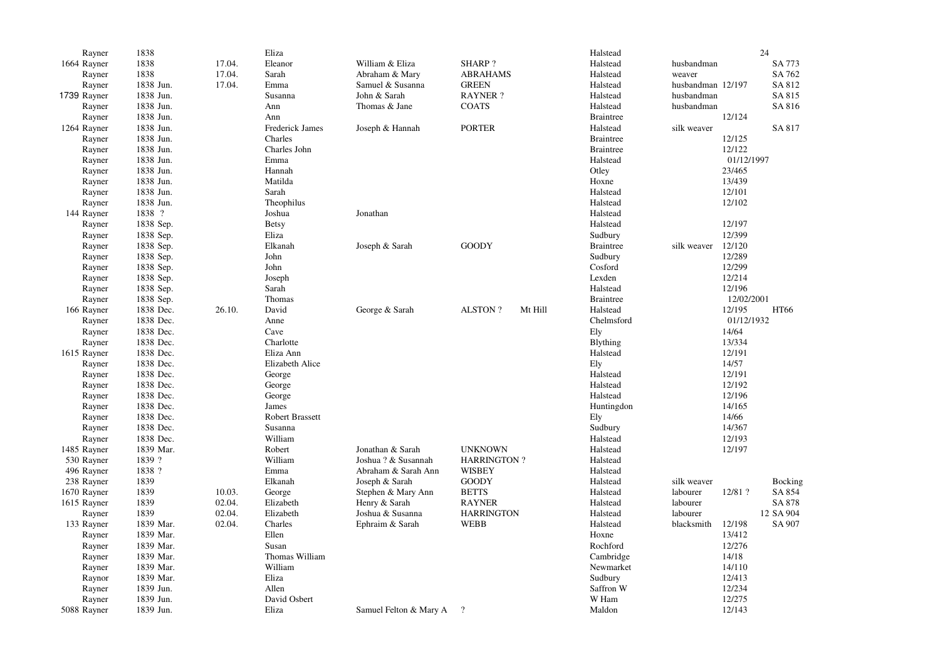| Rayner      | 1838      |        | Eliza                  |                        |                           | Halstead         |                   |            | 24        |
|-------------|-----------|--------|------------------------|------------------------|---------------------------|------------------|-------------------|------------|-----------|
| 1664 Rayner | 1838      | 17.04. | Eleanor                | William & Eliza        | <b>SHARP?</b>             | Halstead         | husbandman        |            | SA 773    |
| Rayner      | 1838      | 17.04. | Sarah                  | Abraham & Mary         | <b>ABRAHAMS</b>           | Halstead         | weaver            |            | SA 762    |
| Rayner      | 1838 Jun. | 17.04. | Emma                   | Samuel & Susanna       | <b>GREEN</b>              | Halstead         | husbandman 12/197 |            | SA 812    |
| 1739 Rayner | 1838 Jun. |        | Susanna                | John & Sarah           | <b>RAYNER?</b>            | Halstead         | husbandman        |            | SA 815    |
| Rayner      | 1838 Jun. |        | Ann                    | Thomas & Jane          | <b>COATS</b>              | Halstead         | husbandman        |            | SA 816    |
| Rayner      | 1838 Jun. |        | Ann                    |                        |                           | <b>Braintree</b> |                   | 12/124     |           |
| 1264 Rayner | 1838 Jun. |        | Frederick James        | Joseph & Hannah        | <b>PORTER</b>             | Halstead         | silk weaver       |            | SA 817    |
| Rayner      | 1838 Jun. |        | Charles                |                        |                           | <b>Braintree</b> |                   | 12/125     |           |
| Rayner      | 1838 Jun. |        | Charles John           |                        |                           | <b>Braintree</b> |                   | 12/122     |           |
| Rayner      | 1838 Jun. |        | Emma                   |                        |                           | Halstead         |                   | 01/12/1997 |           |
| Rayner      | 1838 Jun. |        | Hannah                 |                        |                           | Otley            |                   | 23/465     |           |
| Rayner      | 1838 Jun. |        | Matilda                |                        |                           | Hoxne            |                   | 13/439     |           |
|             |           |        | Sarah                  |                        |                           |                  |                   |            |           |
| Rayner      | 1838 Jun. |        |                        |                        |                           | Halstead         |                   | 12/101     |           |
| Rayner      | 1838 Jun. |        | Theophilus             |                        |                           | Halstead         |                   | 12/102     |           |
| 144 Rayner  | 1838 ?    |        | Joshua                 | Jonathan               |                           | Halstead         |                   |            |           |
| Rayner      | 1838 Sep. |        | <b>Betsy</b>           |                        |                           | Halstead         |                   | 12/197     |           |
| Rayner      | 1838 Sep. |        | Eliza                  |                        |                           | Sudbury          |                   | 12/399     |           |
| Rayner      | 1838 Sep. |        | Elkanah                | Joseph & Sarah         | <b>GOODY</b>              | <b>Braintree</b> | silk weaver       | 12/120     |           |
| Rayner      | 1838 Sep. |        | John                   |                        |                           | Sudbury          |                   | 12/289     |           |
| Rayner      | 1838 Sep. |        | John                   |                        |                           | Cosford          |                   | 12/299     |           |
| Rayner      | 1838 Sep. |        | Joseph                 |                        |                           | Lexden           |                   | 12/214     |           |
| Rayner      | 1838 Sep. |        | Sarah                  |                        |                           | Halstead         |                   | 12/196     |           |
| Rayner      | 1838 Sep. |        | Thomas                 |                        |                           | <b>Braintree</b> |                   | 12/02/2001 |           |
| 166 Rayner  | 1838 Dec. | 26.10. | David                  | George & Sarah         | <b>ALSTON?</b><br>Mt Hill | Halstead         |                   | 12/195     | HT66      |
| Rayner      | 1838 Dec. |        | Anne                   |                        |                           | Chelmsford       |                   | 01/12/1932 |           |
| Rayner      | 1838 Dec. |        | Cave                   |                        |                           | Ely              |                   | 14/64      |           |
| Rayner      | 1838 Dec. |        | Charlotte              |                        |                           | <b>Blything</b>  |                   | 13/334     |           |
| 1615 Rayner | 1838 Dec. |        | Eliza Ann              |                        |                           | Halstead         |                   | 12/191     |           |
| Rayner      | 1838 Dec. |        | Elizabeth Alice        |                        |                           | Ely              |                   | 14/57      |           |
| Rayner      | 1838 Dec. |        | George                 |                        |                           | Halstead         |                   | 12/191     |           |
| Rayner      | 1838 Dec. |        | George                 |                        |                           | Halstead         |                   | 12/192     |           |
| Rayner      | 1838 Dec. |        | George                 |                        |                           | Halstead         |                   | 12/196     |           |
| Rayner      | 1838 Dec. |        | James                  |                        |                           | Huntingdon       |                   | 14/165     |           |
| Rayner      | 1838 Dec. |        | <b>Robert Brassett</b> |                        |                           | Ely              |                   | 14/66      |           |
| Rayner      | 1838 Dec. |        | Susanna                |                        |                           | Sudbury          |                   | 14/367     |           |
| Rayner      | 1838 Dec. |        | William                |                        |                           | Halstead         |                   | 12/193     |           |
| 1485 Rayner | 1839 Mar. |        | Robert                 | Jonathan & Sarah       | <b>UNKNOWN</b>            | Halstead         |                   | 12/197     |           |
| 530 Rayner  | 1839 ?    |        | William                | Joshua ? & Susannah    | <b>HARRINGTON?</b>        | Halstead         |                   |            |           |
| 496 Rayner  | 1838 ?    |        | Emma                   | Abraham & Sarah Ann    | <b>WISBEY</b>             | Halstead         |                   |            |           |
| 238 Rayner  | 1839      |        | Elkanah                | Joseph & Sarah         | <b>GOODY</b>              | Halstead         | silk weaver       |            | Bocking   |
| 1670 Rayner | 1839      | 10.03. | George                 | Stephen & Mary Ann     | <b>BETTS</b>              | Halstead         | labourer          | 12/81 ?    | SA 854    |
| 1615 Rayner | 1839      | 02.04. | Elizabeth              | Henry & Sarah          | <b>RAYNER</b>             | Halstead         | labourer          |            | SA 878    |
| Rayner      | 1839      | 02.04. | Elizabeth              | Joshua & Susanna       | <b>HARRINGTON</b>         | Halstead         | labourer          |            | 12 SA 904 |
| 133 Rayner  | 1839 Mar. | 02.04. | Charles                | Ephraim & Sarah        | <b>WEBB</b>               | Halstead         | blacksmith        | 12/198     | SA 907    |
| Rayner      | 1839 Mar. |        | Ellen                  |                        |                           | Hoxne            |                   | 13/412     |           |
| Rayner      | 1839 Mar. |        | Susan                  |                        |                           | Rochford         |                   | 12/276     |           |
| Rayner      | 1839 Mar. |        | Thomas William         |                        |                           | Cambridge        |                   | 14/18      |           |
| Rayner      | 1839 Mar. |        | William                |                        |                           | Newmarket        |                   | 14/110     |           |
| Raynor      | 1839 Mar. |        | Eliza                  |                        |                           | Sudbury          |                   | 12/413     |           |
|             |           |        | Allen                  |                        |                           | Saffron W        |                   | 12/234     |           |
| Rayner      | 1839 Jun. |        |                        |                        |                           |                  |                   |            |           |
| Rayner      | 1839 Jun. |        | David Osbert           |                        |                           | W Ham            |                   | 12/275     |           |
| 5088 Rayner | 1839 Jun. |        | Eliza                  | Samuel Felton & Mary A | $\gamma$                  | Maldon           |                   | 12/143     |           |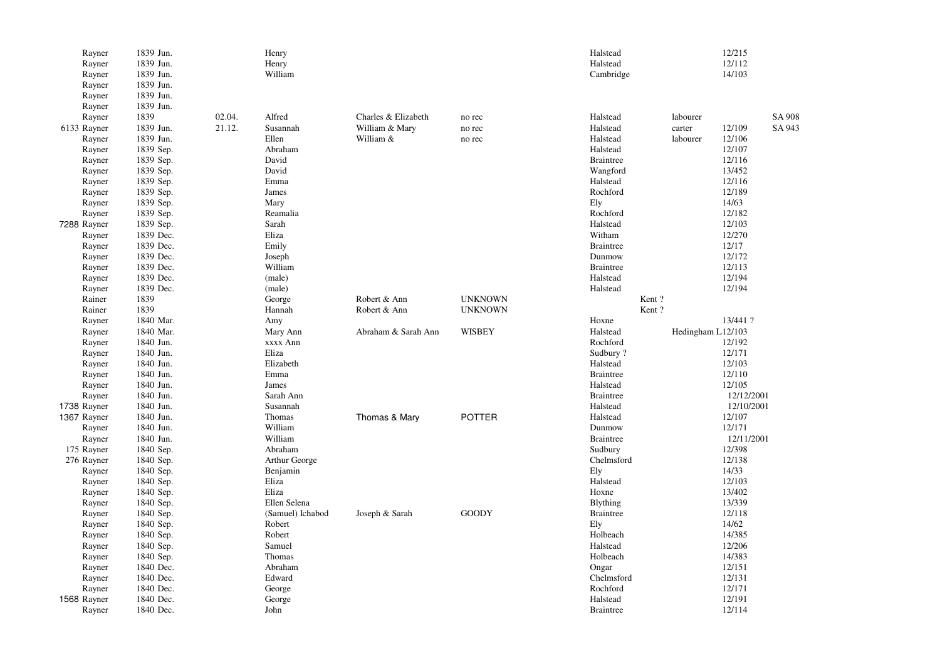| Rayner      | 1839 Jun. |        | Henry            |                     |                | Halstead         |                   | 12/215     |        |
|-------------|-----------|--------|------------------|---------------------|----------------|------------------|-------------------|------------|--------|
| Rayner      | 1839 Jun. |        | Henry            |                     |                | Halstead         |                   | 12/112     |        |
| Rayner      | 1839 Jun. |        | William          |                     |                | Cambridge        |                   | 14/103     |        |
| Rayner      | 1839 Jun. |        |                  |                     |                |                  |                   |            |        |
| Rayner      | 1839 Jun. |        |                  |                     |                |                  |                   |            |        |
| Rayner      | 1839 Jun. |        |                  |                     |                |                  |                   |            |        |
| Rayner      | 1839      | 02.04. | Alfred           | Charles & Elizabeth | no rec         | Halstead         | labourer          |            | SA 908 |
| 6133 Rayner | 1839 Jun. | 21.12. | Susannah         | William & Mary      | no rec         | Halstead         | carter            | 12/109     | SA 943 |
| Rayner      | 1839 Jun. |        | Ellen            | William &           | no rec         | Halstead         | labourer          | 12/106     |        |
| Rayner      | 1839 Sep. |        | Abraham          |                     |                | Halstead         |                   | 12/107     |        |
| Rayner      | 1839 Sep. |        | David            |                     |                | <b>Braintree</b> |                   | 12/116     |        |
| Rayner      | 1839 Sep. |        | David            |                     |                | Wangford         |                   | 13/452     |        |
| Rayner      | 1839 Sep. |        | Emma             |                     |                | Halstead         |                   | 12/116     |        |
| Rayner      | 1839 Sep. |        | James            |                     |                | Rochford         |                   | 12/189     |        |
| Rayner      | 1839 Sep. |        | Mary             |                     |                | Ely              |                   | 14/63      |        |
| Rayner      | 1839 Sep. |        | Reamalia         |                     |                | Rochford         |                   | 12/182     |        |
| 7288 Rayner | 1839 Sep. |        | Sarah            |                     |                | Halstead         |                   | 12/103     |        |
|             |           |        | Eliza            |                     |                |                  |                   | 12/270     |        |
| Rayner      | 1839 Dec. |        |                  |                     |                | Witham           |                   |            |        |
| Rayner      | 1839 Dec. |        | Emily            |                     |                | <b>Braintree</b> |                   | 12/17      |        |
| Rayner      | 1839 Dec. |        | Joseph           |                     |                | Dunmow           |                   | 12/172     |        |
| Rayner      | 1839 Dec. |        | William          |                     |                | <b>Braintree</b> |                   | 12/113     |        |
| Rayner      | 1839 Dec. |        | (male)           |                     |                | Halstead         |                   | 12/194     |        |
| Rayner      | 1839 Dec. |        | (male)           |                     |                | Halstead         |                   | 12/194     |        |
| Rainer      | 1839      |        | George           | Robert & Ann        | <b>UNKNOWN</b> | Kent?            |                   |            |        |
| Rainer      | 1839      |        | Hannah           | Robert & Ann        | <b>UNKNOWN</b> | Kent?            |                   |            |        |
| Rayner      | 1840 Mar. |        | Amy              |                     |                | Hoxne            |                   | 13/441 ?   |        |
| Rayner      | 1840 Mar. |        | Mary Ann         | Abraham & Sarah Ann | <b>WISBEY</b>  | Halstead         | Hedingham L12/103 |            |        |
| Rayner      | 1840 Jun. |        | xxxx Ann         |                     |                | Rochford         |                   | 12/192     |        |
| Rayner      | 1840 Jun. |        | Eliza            |                     |                | Sudbury?         |                   | 12/171     |        |
| Rayner      | 1840 Jun. |        | Elizabeth        |                     |                | Halstead         |                   | 12/103     |        |
| Rayner      | 1840 Jun. |        | Emma             |                     |                | <b>Braintree</b> |                   | 12/110     |        |
| Rayner      | 1840 Jun. |        | James            |                     |                | Halstead         |                   | 12/105     |        |
| Rayner      | 1840 Jun. |        | Sarah Ann        |                     |                | <b>Braintree</b> |                   | 12/12/2001 |        |
| 1738 Rayner | 1840 Jun. |        | Susannah         |                     |                | Halstead         |                   | 12/10/2001 |        |
| 1367 Rayner | 1840 Jun. |        | Thomas           | Thomas & Mary       | <b>POTTER</b>  | Halstead         |                   | 12/107     |        |
| Rayner      | 1840 Jun. |        | William          |                     |                | Dunmow           |                   | 12/171     |        |
| Rayner      | 1840 Jun. |        | William          |                     |                | <b>Braintree</b> |                   | 12/11/2001 |        |
| 175 Rayner  | 1840 Sep. |        | Abraham          |                     |                | Sudbury          |                   | 12/398     |        |
| 276 Rayner  | 1840 Sep. |        | Arthur George    |                     |                | Chelmsford       |                   | 12/138     |        |
| Rayner      | 1840 Sep. |        | Benjamin         |                     |                | Ely              |                   | 14/33      |        |
| Rayner      | 1840 Sep. |        | Eliza            |                     |                | Halstead         |                   | 12/103     |        |
| Rayner      | 1840 Sep. |        | Eliza            |                     |                | Hoxne            |                   | 13/402     |        |
| Rayner      | 1840 Sep. |        | Ellen Selena     |                     |                | <b>Blything</b>  |                   | 13/339     |        |
| Rayner      | 1840 Sep. |        | (Samuel) Ichabod | Joseph & Sarah      | <b>GOODY</b>   | <b>Braintree</b> |                   | 12/118     |        |
| Rayner      | 1840 Sep. |        | Robert           |                     |                | Ely              |                   | 14/62      |        |
| Rayner      | 1840 Sep. |        | Robert           |                     |                | Holbeach         |                   | 14/385     |        |
| Rayner      | 1840 Sep. |        | Samuel           |                     |                | Halstead         |                   | 12/206     |        |
| Rayner      | 1840 Sep. |        | Thomas           |                     |                | Holbeach         |                   | 14/383     |        |
| Rayner      | 1840 Dec. |        | Abraham          |                     |                | Ongar            |                   | 12/151     |        |
| Rayner      | 1840 Dec. |        | Edward           |                     |                | Chelmsford       |                   | 12/131     |        |
| Rayner      | 1840 Dec. |        | George           |                     |                | Rochford         |                   | 12/171     |        |
| 1568 Rayner | 1840 Dec. |        | George           |                     |                | Halstead         |                   | 12/191     |        |
| Rayner      | 1840 Dec. |        | John             |                     |                | <b>Braintree</b> |                   | 12/114     |        |
|             |           |        |                  |                     |                |                  |                   |            |        |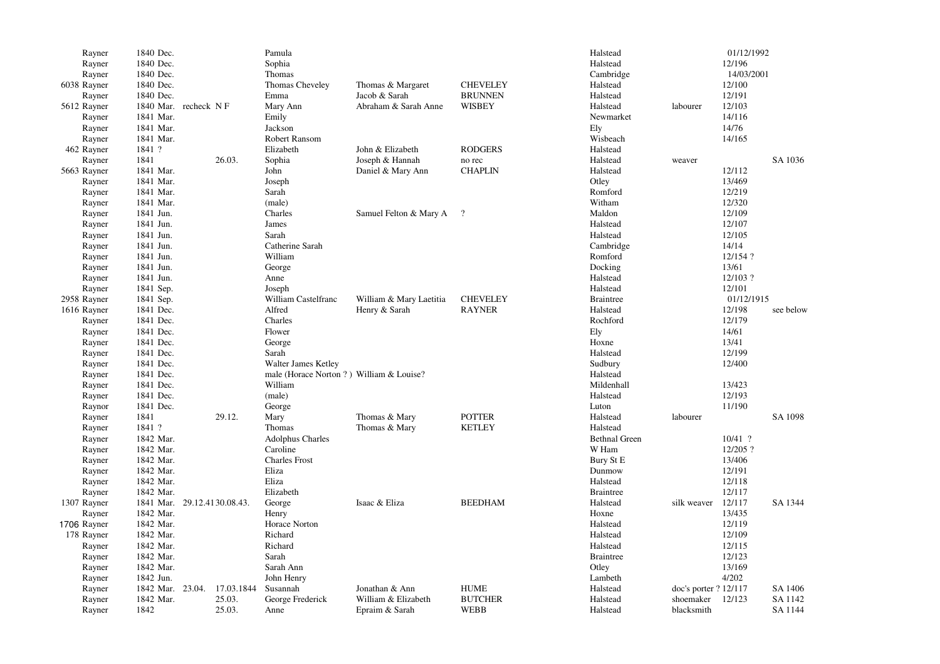| Rayner      | 1840 Dec.        |                             | Pamula                                   |                          |                 | Halstead             |                       | 01/12/1992 |           |
|-------------|------------------|-----------------------------|------------------------------------------|--------------------------|-----------------|----------------------|-----------------------|------------|-----------|
| Rayner      | 1840 Dec.        |                             | Sophia                                   |                          |                 | Halstead             |                       | 12/196     |           |
| Rayner      | 1840 Dec.        |                             | Thomas                                   |                          |                 | Cambridge            |                       | 14/03/2001 |           |
| 6038 Rayner | 1840 Dec.        |                             | Thomas Cheveley                          | Thomas & Margaret        | <b>CHEVELEY</b> | Halstead             |                       | 12/100     |           |
| Rayner      | 1840 Dec.        |                             | Emma                                     | Jacob & Sarah            | <b>BRUNNEN</b>  | Halstead             |                       | 12/191     |           |
| 5612 Rayner |                  | 1840 Mar. recheck NF        | Mary Ann                                 | Abraham & Sarah Anne     | WISBEY          | Halstead             | labourer              | 12/103     |           |
| Rayner      | 1841 Mar.        |                             | Emily                                    |                          |                 | Newmarket            |                       | 14/116     |           |
| Rayner      | 1841 Mar.        |                             | Jackson                                  |                          |                 | Ely                  |                       | 14/76      |           |
| Rayner      | 1841 Mar.        |                             | Robert Ransom                            |                          |                 | Wisbeach             |                       | 14/165     |           |
| 462 Rayner  | 1841 ?           |                             | Elizabeth                                | John & Elizabeth         | <b>RODGERS</b>  | Halstead             |                       |            |           |
| Rayner      | 1841             | 26.03.                      | Sophia                                   | Joseph & Hannah          | no rec          | Halstead             | weaver                |            | SA 1036   |
|             | 1841 Mar.        |                             | John                                     |                          | <b>CHAPLIN</b>  | Halstead             |                       | 12/112     |           |
| 5663 Rayner |                  |                             |                                          | Daniel & Mary Ann        |                 |                      |                       |            |           |
| Rayner      | 1841 Mar.        |                             | Joseph                                   |                          |                 | Otley                |                       | 13/469     |           |
| Rayner      | 1841 Mar.        |                             | Sarah                                    |                          |                 | Romford              |                       | 12/219     |           |
| Rayner      | 1841 Mar.        |                             | (male)                                   |                          |                 | Witham               |                       | 12/320     |           |
| Rayner      | 1841 Jun.        |                             | Charles                                  | Samuel Felton & Mary A ? |                 | Maldon               |                       | 12/109     |           |
| Rayner      | 1841 Jun.        |                             | James                                    |                          |                 | Halstead             |                       | 12/107     |           |
| Rayner      | 1841 Jun.        |                             | Sarah                                    |                          |                 | Halstead             |                       | 12/105     |           |
| Rayner      | 1841 Jun.        |                             | Catherine Sarah                          |                          |                 | Cambridge            |                       | 14/14      |           |
| Rayner      | 1841 Jun.        |                             | William                                  |                          |                 | Romford              |                       | 12/154 ?   |           |
| Rayner      | 1841 Jun.        |                             | George                                   |                          |                 | Docking              |                       | 13/61      |           |
| Rayner      | 1841 Jun.        |                             | Anne                                     |                          |                 | Halstead             |                       | 12/103?    |           |
| Rayner      | 1841 Sep.        |                             | Joseph                                   |                          |                 | Halstead             |                       | 12/101     |           |
| 2958 Rayner | 1841 Sep.        |                             | William Castelfranc                      | William & Mary Laetitia  | <b>CHEVELEY</b> | <b>Braintree</b>     |                       | 01/12/1915 |           |
| 1616 Rayner | 1841 Dec.        |                             | Alfred                                   | Henry & Sarah            | <b>RAYNER</b>   | Halstead             |                       | 12/198     | see below |
| Rayner      | 1841 Dec.        |                             | Charles                                  |                          |                 | Rochford             |                       | 12/179     |           |
| Rayner      | 1841 Dec.        |                             | Flower                                   |                          |                 | Ely                  |                       | 14/61      |           |
| Rayner      | 1841 Dec.        |                             | George                                   |                          |                 | Hoxne                |                       | 13/41      |           |
| Rayner      | 1841 Dec.        |                             | Sarah                                    |                          |                 | Halstead             |                       | 12/199     |           |
| Rayner      | 1841 Dec.        |                             | Walter James Ketley                      |                          |                 | Sudbury              |                       | 12/400     |           |
| Rayner      | 1841 Dec.        |                             | male (Horace Norton ?) William & Louise? |                          |                 | Halstead             |                       |            |           |
| Rayner      | 1841 Dec.        |                             | William                                  |                          |                 | Mildenhall           |                       | 13/423     |           |
| Rayner      | 1841 Dec.        |                             | (male)                                   |                          |                 | Halstead             |                       | 12/193     |           |
| Raynor      | 1841 Dec.        |                             | George                                   |                          |                 | Luton                |                       | 11/190     |           |
| Rayner      | 1841             | 29.12.                      | Mary                                     | Thomas & Mary            | <b>POTTER</b>   | Halstead             | labourer              |            | SA 1098   |
| Rayner      | 1841 ?           |                             | Thomas                                   | Thomas & Mary            | <b>KETLEY</b>   | Halstead             |                       |            |           |
| Rayner      | 1842 Mar.        |                             | <b>Adolphus Charles</b>                  |                          |                 | <b>Bethnal Green</b> |                       | $10/41$ ?  |           |
| Rayner      | 1842 Mar.        |                             | Caroline                                 |                          |                 | W Ham                |                       | 12/205?    |           |
|             | 1842 Mar.        |                             | <b>Charles Frost</b>                     |                          |                 | Bury St E            |                       | 13/406     |           |
| Rayner      | 1842 Mar.        |                             | Eliza                                    |                          |                 | Dunmow               |                       | 12/191     |           |
| Rayner      |                  |                             |                                          |                          |                 |                      |                       |            |           |
| Rayner      | 1842 Mar.        |                             | Eliza                                    |                          |                 | Halstead             |                       | 12/118     |           |
| Rayner      | 1842 Mar.        |                             | Elizabeth                                |                          |                 | <b>Braintree</b>     |                       | 12/117     |           |
| 1307 Rayner |                  | 1841 Mar. 29.12.4130.08.43. | George                                   | Isaac & Eliza            | <b>BEEDHAM</b>  | Halstead             | silk weaver           | 12/117     | SA 1344   |
| Rayner      | 1842 Mar.        |                             | Henry                                    |                          |                 | Hoxne                |                       | 13/435     |           |
| 1706 Rayner | 1842 Mar.        |                             | Horace Norton                            |                          |                 | Halstead             |                       | 12/119     |           |
| 178 Rayner  | 1842 Mar.        |                             | Richard                                  |                          |                 | Halstead             |                       | 12/109     |           |
| Rayner      | 1842 Mar.        |                             | Richard                                  |                          |                 | Halstead             |                       | 12/115     |           |
| Rayner      | 1842 Mar.        |                             | Sarah                                    |                          |                 | <b>Braintree</b>     |                       | 12/123     |           |
| Rayner      | 1842 Mar.        |                             | Sarah Ann                                |                          |                 | Otley                |                       | 13/169     |           |
| Rayner      | 1842 Jun.        |                             | John Henry                               |                          |                 | Lambeth              |                       | 4/202      |           |
| Rayner      | 1842 Mar. 23.04. | 17.03.1844                  | Susannah                                 | Jonathan & Ann           | <b>HUME</b>     | Halstead             | doc's porter ? 12/117 |            | SA 1406   |
| Rayner      | 1842 Mar.        | 25.03.                      | George Frederick                         | William & Elizabeth      | <b>BUTCHER</b>  | Halstead             | shoemaker             | 12/123     | SA 1142   |
| Rayner      | 1842             | 25.03.                      | Anne                                     | Epraim & Sarah           | <b>WEBB</b>     | Halstead             | blacksmith            |            | SA 1144   |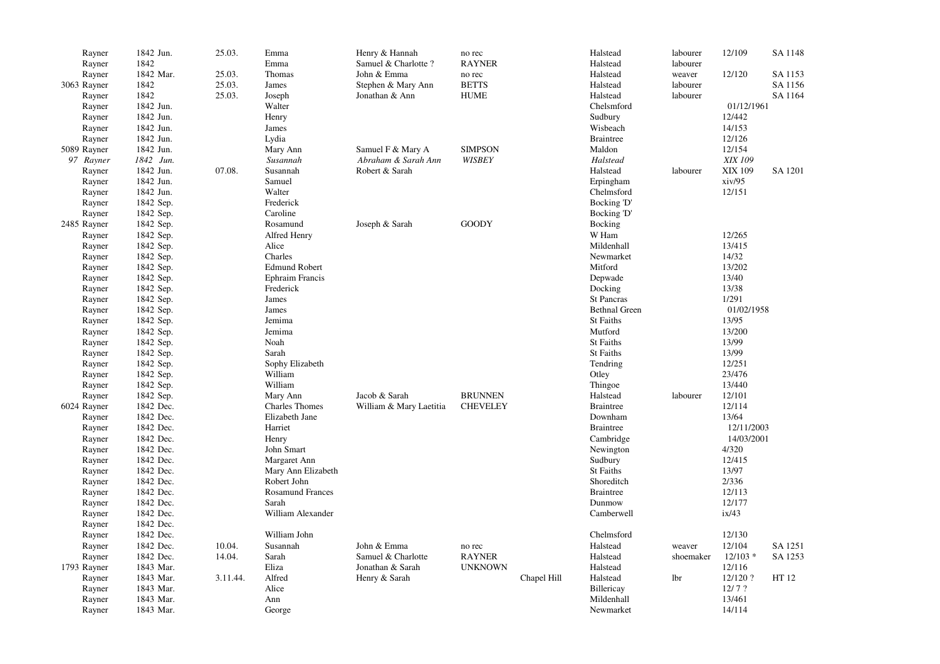| Rayner<br>Rayner | 1842 | 1842 Jun. | 25.03.   | Emma<br>Emma            | Henry & Hannah<br>Samuel & Charlotte? | no rec<br><b>RAYNER</b> |             | Halstead<br>Halstead | labourer<br>labourer | 12/109     | SA 1148 |
|------------------|------|-----------|----------|-------------------------|---------------------------------------|-------------------------|-------------|----------------------|----------------------|------------|---------|
| Rayner           |      | 1842 Mar. | 25.03.   | Thomas                  | John & Emma                           | no rec                  |             | Halstead             | weaver               | 12/120     | SA 1153 |
| 3063 Rayner      | 1842 |           | 25.03.   | James                   | Stephen & Mary Ann                    | <b>BETTS</b>            |             | Halstead             | labourer             |            | SA 1156 |
| Rayner           | 1842 |           | 25.03.   | Joseph                  | Jonathan & Ann                        | <b>HUME</b>             |             | Halstead             | labourer             |            | SA 1164 |
|                  |      | 1842 Jun. |          | Walter                  |                                       |                         |             | Chelsmford           |                      | 01/12/1961 |         |
| Rayner           |      | 1842 Jun. |          | Henry                   |                                       |                         |             |                      |                      | 12/442     |         |
| Rayner           |      |           |          |                         |                                       |                         |             | Sudbury              |                      |            |         |
| Rayner           |      | 1842 Jun. |          | James                   |                                       |                         |             | Wisbeach             |                      | 14/153     |         |
| Rayner           |      | 1842 Jun. |          | Lydia                   |                                       |                         |             | <b>Braintree</b>     |                      | 12/126     |         |
| 5089 Rayner      |      | 1842 Jun. |          | Mary Ann                | Samuel F & Mary A                     | <b>SIMPSON</b>          |             | Maldon               |                      | 12/154     |         |
| 97 Rayner        |      | 1842 Jun. |          | Susannah                | Abraham & Sarah Ann                   | <b>WISBEY</b>           |             | Halstead             |                      | XIX 109    |         |
| Rayner           |      | 1842 Jun. | 07.08.   | Susannah                | Robert & Sarah                        |                         |             | Halstead             | labourer             | XIX 109    | SA 1201 |
| Rayner           |      | 1842 Jun. |          | Samuel                  |                                       |                         |             | Erpingham            |                      | xiv/95     |         |
| Rayner           |      | 1842 Jun. |          | Walter                  |                                       |                         |             | Chelmsford           |                      | 12/151     |         |
| Rayner           |      | 1842 Sep. |          | Frederick               |                                       |                         |             | Bocking 'D'          |                      |            |         |
| Rayner           |      | 1842 Sep. |          | Caroline                |                                       |                         |             | Bocking 'D'          |                      |            |         |
| 2485 Rayner      |      | 1842 Sep. |          | Rosamund                | Joseph & Sarah                        | <b>GOODY</b>            |             | Bocking              |                      |            |         |
| Rayner           |      | 1842 Sep. |          | Alfred Henry            |                                       |                         |             | W Ham                |                      | 12/265     |         |
| Rayner           |      | 1842 Sep. |          | Alice                   |                                       |                         |             | Mildenhall           |                      | 13/415     |         |
| Rayner           |      | 1842 Sep. |          | Charles                 |                                       |                         |             | Newmarket            |                      | 14/32      |         |
| Rayner           |      | 1842 Sep. |          | <b>Edmund Robert</b>    |                                       |                         |             | Mitford              |                      | 13/202     |         |
| Rayner           |      | 1842 Sep. |          | <b>Ephraim Francis</b>  |                                       |                         |             | Depwade              |                      | 13/40      |         |
| Rayner           |      | 1842 Sep. |          | Frederick               |                                       |                         |             | Docking              |                      | 13/38      |         |
| Rayner           |      | 1842 Sep. |          | James                   |                                       |                         |             | <b>St Pancras</b>    |                      | 1/291      |         |
| Rayner           |      | 1842 Sep. |          | James                   |                                       |                         |             | <b>Bethnal Green</b> |                      | 01/02/1958 |         |
| Rayner           |      | 1842 Sep. |          | Jemima                  |                                       |                         |             | St Faiths            |                      | 13/95      |         |
| Rayner           |      | 1842 Sep. |          | Jemima                  |                                       |                         |             | Mutford              |                      | 13/200     |         |
| Rayner           |      | 1842 Sep. |          | Noah                    |                                       |                         |             | St Faiths            |                      | 13/99      |         |
| Rayner           |      | 1842 Sep. |          | Sarah                   |                                       |                         |             | <b>St Faiths</b>     |                      | 13/99      |         |
| Rayner           |      | 1842 Sep. |          | Sophy Elizabeth         |                                       |                         |             | Tendring             |                      | 12/251     |         |
| Rayner           |      | 1842 Sep. |          | William                 |                                       |                         |             | Otley                |                      | 23/476     |         |
| Rayner           |      | 1842 Sep. |          | William                 |                                       |                         |             | Thingoe              |                      | 13/440     |         |
| Rayner           |      | 1842 Sep. |          | Mary Ann                | Jacob & Sarah                         | <b>BRUNNEN</b>          |             | Halstead             | labourer             | 12/101     |         |
| 6024 Rayner      |      | 1842 Dec. |          | <b>Charles Thomes</b>   | William & Mary Laetitia               | <b>CHEVELEY</b>         |             | <b>Braintree</b>     |                      | 12/114     |         |
| Rayner           |      | 1842 Dec. |          | Elizabeth Jane          |                                       |                         |             | Downham              |                      | 13/64      |         |
| Rayner           |      | 1842 Dec. |          | Harriet                 |                                       |                         |             | <b>Braintree</b>     |                      | 12/11/2003 |         |
| Rayner           |      | 1842 Dec. |          | Henry                   |                                       |                         |             | Cambridge            |                      | 14/03/2001 |         |
| Rayner           |      | 1842 Dec. |          | John Smart              |                                       |                         |             | Newington            |                      | 4/320      |         |
| Rayner           |      | 1842 Dec. |          | Margaret Ann            |                                       |                         |             | Sudbury              |                      | 12/415     |         |
| Rayner           |      | 1842 Dec. |          | Mary Ann Elizabeth      |                                       |                         |             | St Faiths            |                      | 13/97      |         |
| Rayner           |      | 1842 Dec. |          | Robert John             |                                       |                         |             | Shoreditch           |                      | 2/336      |         |
|                  |      | 1842 Dec. |          | <b>Rosamund Frances</b> |                                       |                         |             | <b>Braintree</b>     |                      | 12/113     |         |
| Rayner           |      | 1842 Dec. |          | Sarah                   |                                       |                         |             | Dunmow               |                      | 12/177     |         |
| Rayner           |      |           |          | William Alexander       |                                       |                         |             |                      |                      |            |         |
| Rayner           |      | 1842 Dec. |          |                         |                                       |                         |             | Camberwell           |                      | ix/43      |         |
| Rayner           |      | 1842 Dec. |          |                         |                                       |                         |             |                      |                      |            |         |
| Rayner           |      | 1842 Dec. |          | William John            |                                       |                         |             | Chelmsford           |                      | 12/130     |         |
| Rayner           |      | 1842 Dec. | 10.04.   | Susannah                | John & Emma                           | no rec                  |             | Halstead             | weaver               | 12/104     | SA 1251 |
| Rayner           |      | 1842 Dec. | 14.04.   | Sarah                   | Samuel & Charlotte                    | <b>RAYNER</b>           |             | Halstead             | shoemaker            | $12/103$ * | SA 1253 |
| 1793 Rayner      |      | 1843 Mar. |          | Eliza                   | Jonathan & Sarah                      | <b>UNKNOWN</b>          |             | Halstead             |                      | 12/116     |         |
| Rayner           |      | 1843 Mar. | 3.11.44. | Alfred                  | Henry & Sarah                         |                         | Chapel Hill | Halstead             | 1 <sub>br</sub>      | 12/120?    | HT 12   |
| Rayner           |      | 1843 Mar. |          | Alice                   |                                       |                         |             | Billericay           |                      | 12/7?      |         |
| Rayner           |      | 1843 Mar. |          | Ann                     |                                       |                         |             | Mildenhall           |                      | 13/461     |         |
| Rayner           |      | 1843 Mar. |          | George                  |                                       |                         |             | Newmarket            |                      | 14/114     |         |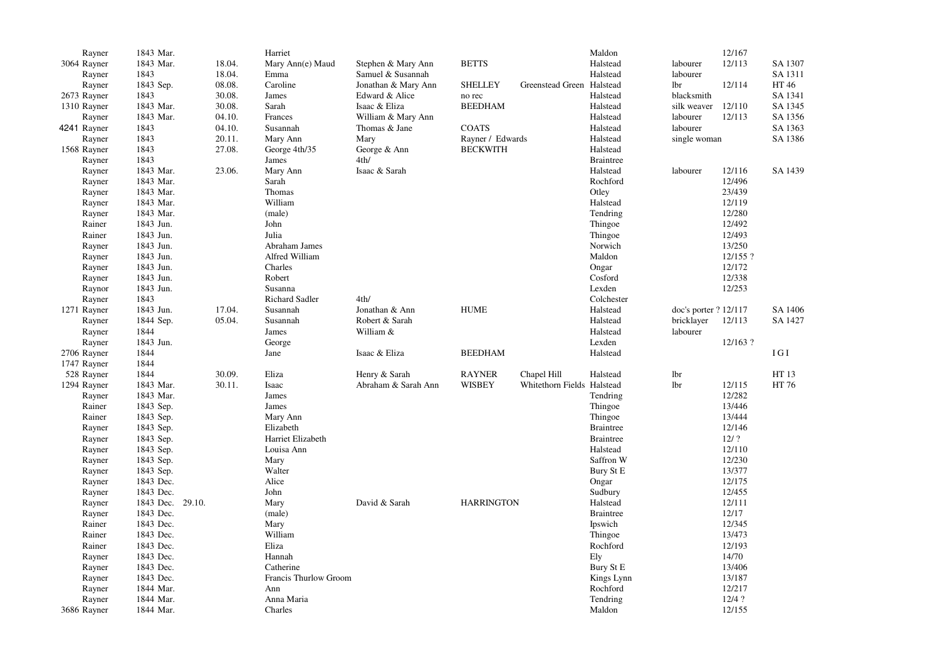| Rayner      | 1843 Mar.           |        | Harriet               |                     |                   |                            | Maldon           |                       | 12/167    |         |
|-------------|---------------------|--------|-----------------------|---------------------|-------------------|----------------------------|------------------|-----------------------|-----------|---------|
| 3064 Rayner | 1843 Mar.           | 18.04. | Mary Ann(e) Maud      | Stephen & Mary Ann  | <b>BETTS</b>      |                            | Halstead         | labourer              | 12/113    | SA 1307 |
| Rayner      | 1843                | 18.04. | Emma                  | Samuel & Susannah   |                   |                            | Halstead         | labourer              |           | SA 1311 |
| Rayner      | 1843 Sep.           | 08.08. | Caroline              | Jonathan & Mary Ann | <b>SHELLEY</b>    | Greenstead Green Halstead  |                  | lbr                   | 12/114    | HT 46   |
| 2673 Rayner | 1843                | 30.08. | James                 | Edward & Alice      | no rec            |                            | Halstead         | blacksmith            |           | SA 1341 |
| 1310 Rayner | 1843 Mar.           | 30.08. | Sarah                 | Isaac & Eliza       | <b>BEEDHAM</b>    |                            | Halstead         | silk weaver           | 12/110    | SA 1345 |
| Rayner      | 1843 Mar.           | 04.10. | Frances               | William & Mary Ann  |                   |                            | Halstead         | labourer              | 12/113    | SA 1356 |
| 4241 Rayner | 1843                | 04.10. | Susannah              | Thomas & Jane       | <b>COATS</b>      |                            | Halstead         | labourer              |           | SA 1363 |
| Rayner      | 1843                | 20.11. | Mary Ann              | Mary                | Rayner / Edwards  |                            | Halstead         | single woman          |           | SA 1386 |
| 1568 Rayner | 1843                | 27.08. | George 4th/35         | George & Ann        | <b>BECKWITH</b>   |                            | Halstead         |                       |           |         |
| Rayner      | 1843                |        | James                 | 4th/                |                   |                            | <b>Braintree</b> |                       |           |         |
| Rayner      | 1843 Mar.           | 23.06. | Mary Ann              | Isaac & Sarah       |                   |                            | Halstead         | labourer              | 12/116    | SA 1439 |
|             | 1843 Mar.           |        | Sarah                 |                     |                   |                            | Rochford         |                       | 12/496    |         |
| Rayner      |                     |        |                       |                     |                   |                            |                  |                       |           |         |
| Rayner      | 1843 Mar.           |        | Thomas                |                     |                   |                            | Otley            |                       | 23/439    |         |
| Rayner      | 1843 Mar.           |        | William               |                     |                   |                            | Halstead         |                       | 12/119    |         |
| Rayner      | 1843 Mar.           |        | (male)                |                     |                   |                            | Tendring         |                       | 12/280    |         |
| Rainer      | 1843 Jun.           |        | John                  |                     |                   |                            | Thingoe          |                       | 12/492    |         |
| Rainer      | 1843 Jun.           |        | Julia                 |                     |                   |                            | Thingoe          |                       | 12/493    |         |
| Rayner      | 1843 Jun.           |        | Abraham James         |                     |                   |                            | Norwich          |                       | 13/250    |         |
| Rayner      | 1843 Jun.           |        | Alfred William        |                     |                   |                            | Maldon           |                       | 12/155 ?  |         |
| Rayner      | 1843 Jun.           |        | Charles               |                     |                   |                            | Ongar            |                       | 12/172    |         |
| Rayner      | 1843 Jun.           |        | Robert                |                     |                   |                            | Cosford          |                       | 12/338    |         |
| Raynor      | 1843 Jun.           |        | Susanna               |                     |                   |                            | Lexden           |                       | 12/253    |         |
| Rayner      | 1843                |        | <b>Richard Sadler</b> | 4th/                |                   |                            | Colchester       |                       |           |         |
| 1271 Rayner | 1843 Jun.           | 17.04. | Susannah              | Jonathan & Ann      | <b>HUME</b>       |                            | Halstead         | doc's porter ? 12/117 |           | SA 1406 |
| Rayner      | 1844 Sep.           | 05.04. | Susannah              | Robert & Sarah      |                   |                            | Halstead         | bricklayer            | 12/113    | SA 1427 |
| Rayner      | 1844                |        | James                 | William &           |                   |                            | Halstead         | labourer              |           |         |
| Rayner      | 1843 Jun.           |        | George                |                     |                   |                            | Lexden           |                       | 12/163?   |         |
| 2706 Rayner | 1844                |        | Jane                  | Isaac & Eliza       | <b>BEEDHAM</b>    |                            | Halstead         |                       |           | IGI     |
| 1747 Rayner | 1844                |        |                       |                     |                   |                            |                  |                       |           |         |
| 528 Rayner  | 1844                | 30.09. | Eliza                 | Henry & Sarah       | <b>RAYNER</b>     | Chapel Hill                | Halstead         | <b>lbr</b>            |           | HT 13   |
| 1294 Rayner | 1843 Mar.           | 30.11. | Isaac                 | Abraham & Sarah Ann | <b>WISBEY</b>     | Whitethorn Fields Halstead |                  | <b>lbr</b>            | 12/115    | HT 76   |
| Rayner      | 1843 Mar.           |        | James                 |                     |                   |                            | Tendring         |                       | 12/282    |         |
| Rainer      | 1843 Sep.           |        | James                 |                     |                   |                            | Thingoe          |                       | 13/446    |         |
| Rainer      | 1843 Sep.           |        | Mary Ann              |                     |                   |                            | Thingoe          |                       | 13/444    |         |
|             | 1843 Sep.           |        | Elizabeth             |                     |                   |                            | <b>Braintree</b> |                       | 12/146    |         |
| Rayner      |                     |        |                       |                     |                   |                            |                  |                       | $12/$ ?   |         |
| Rayner      | 1843 Sep.           |        | Harriet Elizabeth     |                     |                   |                            | <b>Braintree</b> |                       |           |         |
| Rayner      | 1843 Sep.           |        | Louisa Ann            |                     |                   |                            | Halstead         |                       | 12/110    |         |
| Rayner      | 1843 Sep.           |        | Mary                  |                     |                   |                            | Saffron W        |                       | 12/230    |         |
| Rayner      | 1843 Sep.           |        | Walter                |                     |                   |                            | Bury St E        |                       | 13/377    |         |
| Rayner      | 1843 Dec.           |        | Alice                 |                     |                   |                            | Ongar            |                       | 12/175    |         |
| Rayner      | 1843 Dec.           |        | John                  |                     |                   |                            | Sudbury          |                       | 12/455    |         |
| Rayner      | 1843 Dec.<br>29.10. |        | Mary                  | David & Sarah       | <b>HARRINGTON</b> |                            | Halstead         |                       | 12/111    |         |
| Rayner      | 1843 Dec.           |        | (male)                |                     |                   |                            | <b>Braintree</b> |                       | 12/17     |         |
| Rainer      | 1843 Dec.           |        | Mary                  |                     |                   |                            | Ipswich          |                       | 12/345    |         |
| Rainer      | 1843 Dec.           |        | William               |                     |                   |                            | Thingoe          |                       | 13/473    |         |
| Rainer      | 1843 Dec.           |        | Eliza                 |                     |                   |                            | Rochford         |                       | 12/193    |         |
| Rayner      | 1843 Dec.           |        | Hannah                |                     |                   |                            | Ely              |                       | $14/70\,$ |         |
| Rayner      | 1843 Dec.           |        | Catherine             |                     |                   |                            | Bury St E        |                       | 13/406    |         |
| Rayner      | 1843 Dec.           |        | Francis Thurlow Groom |                     |                   |                            | Kings Lynn       |                       | 13/187    |         |
| Rayner      | 1844 Mar.           |        | Ann                   |                     |                   |                            | Rochford         |                       | 12/217    |         |
| Rayner      | 1844 Mar.           |        | Anna Maria            |                     |                   |                            | Tendring         |                       | 12/4?     |         |
| 3686 Rayner | 1844 Mar.           |        | Charles               |                     |                   |                            | Maldon           |                       | 12/155    |         |
|             |                     |        |                       |                     |                   |                            |                  |                       |           |         |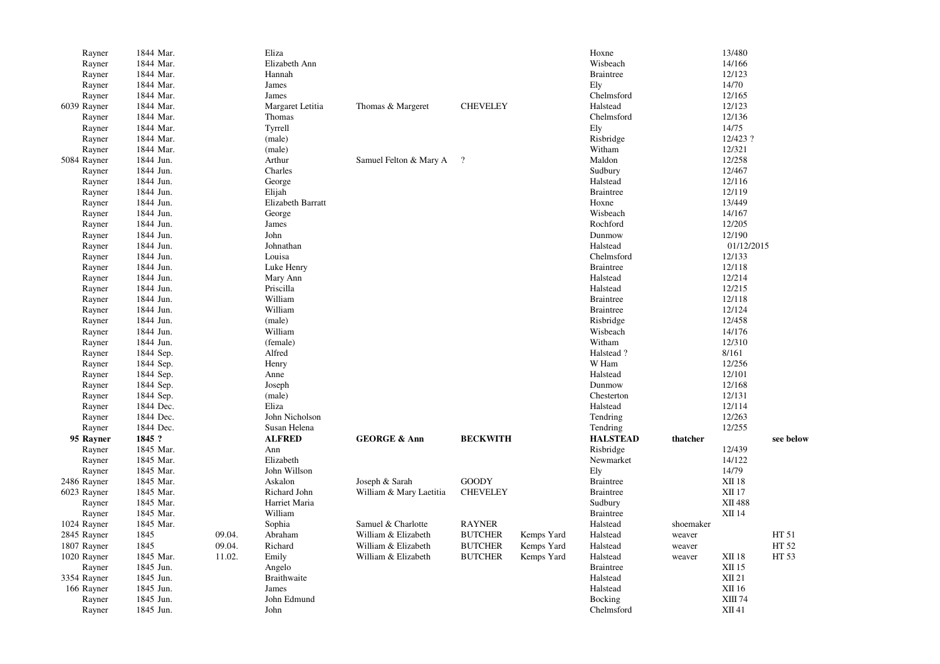| Rayner      | 1844 Mar. |        | Eliza                    |                         |                 |            | Hoxne            |           | 13/480        |           |
|-------------|-----------|--------|--------------------------|-------------------------|-----------------|------------|------------------|-----------|---------------|-----------|
| Rayner      | 1844 Mar. |        | Elizabeth Ann            |                         |                 |            | Wisbeach         |           | 14/166        |           |
| Rayner      | 1844 Mar. |        | Hannah                   |                         |                 |            | <b>Braintree</b> |           | 12/123        |           |
| Rayner      | 1844 Mar. |        | James                    |                         |                 |            | Ely              |           | 14/70         |           |
| Rayner      | 1844 Mar. |        | James                    |                         |                 |            | Chelmsford       |           | 12/165        |           |
| 6039 Rayner | 1844 Mar. |        | Margaret Letitia         | Thomas & Margeret       | <b>CHEVELEY</b> |            | Halstead         |           | 12/123        |           |
| Rayner      | 1844 Mar. |        | Thomas                   |                         |                 |            | Chelmsford       |           | 12/136        |           |
| Rayner      | 1844 Mar. |        | Tyrrell                  |                         |                 |            | Ely              |           | 14/75         |           |
| Rayner      | 1844 Mar. |        | (male)                   |                         |                 |            | Risbridge        |           | 12/423 ?      |           |
| Rayner      | 1844 Mar. |        | (male)                   |                         |                 |            | Witham           |           | 12/321        |           |
|             |           |        |                          |                         |                 |            |                  |           |               |           |
| 5084 Rayner | 1844 Jun. |        | Arthur                   | Samuel Felton & Mary A  | $\cdot$ ?       |            | Maldon           |           | 12/258        |           |
| Rayner      | 1844 Jun. |        | Charles                  |                         |                 |            | Sudbury          |           | 12/467        |           |
| Rayner      | 1844 Jun. |        | George                   |                         |                 |            | Halstead         |           | 12/116        |           |
| Rayner      | 1844 Jun. |        | Elijah                   |                         |                 |            | <b>Braintree</b> |           | 12/119        |           |
| Rayner      | 1844 Jun. |        | <b>Elizabeth Barratt</b> |                         |                 |            | Hoxne            |           | 13/449        |           |
| Rayner      | 1844 Jun. |        | George                   |                         |                 |            | Wisbeach         |           | 14/167        |           |
| Rayner      | 1844 Jun. |        | James                    |                         |                 |            | Rochford         |           | 12/205        |           |
| Rayner      | 1844 Jun. |        | John                     |                         |                 |            | Dunmow           |           | 12/190        |           |
| Rayner      | 1844 Jun. |        | Johnathan                |                         |                 |            | Halstead         |           | 01/12/2015    |           |
| Rayner      | 1844 Jun. |        | Louisa                   |                         |                 |            | Chelmsford       |           | 12/133        |           |
| Rayner      | 1844 Jun. |        | Luke Henry               |                         |                 |            | <b>Braintree</b> |           | 12/118        |           |
| Rayner      | 1844 Jun. |        | Mary Ann                 |                         |                 |            | Halstead         |           | 12/214        |           |
| Rayner      | 1844 Jun. |        | Priscilla                |                         |                 |            | Halstead         |           | 12/215        |           |
| Rayner      | 1844 Jun. |        | William                  |                         |                 |            | <b>Braintree</b> |           | 12/118        |           |
| Rayner      | 1844 Jun. |        | William                  |                         |                 |            | <b>Braintree</b> |           | 12/124        |           |
| Rayner      | 1844 Jun. |        | (male)                   |                         |                 |            | Risbridge        |           | 12/458        |           |
| Rayner      | 1844 Jun. |        | William                  |                         |                 |            | Wisbeach         |           | 14/176        |           |
| Rayner      | 1844 Jun. |        | (female)                 |                         |                 |            | Witham           |           | 12/310        |           |
| Rayner      | 1844 Sep. |        | Alfred                   |                         |                 |            | Halstead?        |           | 8/161         |           |
| Rayner      | 1844 Sep. |        | Henry                    |                         |                 |            | W Ham            |           | 12/256        |           |
|             |           |        |                          |                         |                 |            |                  |           |               |           |
| Rayner      | 1844 Sep. |        | Anne                     |                         |                 |            | Halstead         |           | 12/101        |           |
| Rayner      | 1844 Sep. |        | Joseph                   |                         |                 |            | Dunmow           |           | 12/168        |           |
| Rayner      | 1844 Sep. |        | (male)                   |                         |                 |            | Chesterton       |           | 12/131        |           |
| Rayner      | 1844 Dec. |        | Eliza                    |                         |                 |            | Halstead         |           | 12/114        |           |
| Rayner      | 1844 Dec. |        | John Nicholson           |                         |                 |            | Tendring         |           | 12/263        |           |
| Rayner      | 1844 Dec. |        | Susan Helena             |                         |                 |            | Tendring         |           | 12/255        |           |
| 95 Rayner   | 1845 ?    |        | <b>ALFRED</b>            | <b>GEORGE &amp; Ann</b> | <b>BECKWITH</b> |            | <b>HALSTEAD</b>  | thatcher  |               | see below |
| Rayner      | 1845 Mar. |        | Ann                      |                         |                 |            | Risbridge        |           | 12/439        |           |
| Rayner      | 1845 Mar. |        | Elizabeth                |                         |                 |            | Newmarket        |           | 14/122        |           |
| Rayner      | 1845 Mar. |        | John Willson             |                         |                 |            | Ely              |           | 14/79         |           |
| 2486 Rayner | 1845 Mar. |        | Askalon                  | Joseph & Sarah          | <b>GOODY</b>    |            | <b>Braintree</b> |           | <b>XII 18</b> |           |
| 6023 Rayner | 1845 Mar. |        | Richard John             | William & Mary Laetitia | <b>CHEVELEY</b> |            | <b>Braintree</b> |           | <b>XII17</b>  |           |
| Rayner      | 1845 Mar. |        | Harriet Maria            |                         |                 |            | Sudbury          |           | XII 488       |           |
| Rayner      | 1845 Mar. |        | William                  |                         |                 |            | <b>Braintree</b> |           | XII 14        |           |
| 1024 Rayner | 1845 Mar. |        | Sophia                   | Samuel & Charlotte      | <b>RAYNER</b>   |            | Halstead         | shoemaker |               |           |
| 2845 Rayner | 1845      | 09.04. | Abraham                  | William & Elizabeth     | <b>BUTCHER</b>  | Kemps Yard | Halstead         | weaver    |               | HT 51     |
| 1807 Rayner | 1845      | 09.04. | Richard                  | William & Elizabeth     | <b>BUTCHER</b>  | Kemps Yard | Halstead         | weaver    |               | HT 52     |
| 1020 Rayner | 1845 Mar. | 11.02. | Emily                    | William & Elizabeth     | <b>BUTCHER</b>  | Kemps Yard | Halstead         | weaver    | <b>XII 18</b> | HT 53     |
| Rayner      | 1845 Jun. |        | Angelo                   |                         |                 |            | <b>Braintree</b> |           | XII 15        |           |
| 3354 Rayner | 1845 Jun. |        | <b>Braithwaite</b>       |                         |                 |            | Halstead         |           | XII 21        |           |
| 166 Rayner  | 1845 Jun. |        | James                    |                         |                 |            | Halstead         |           | XII 16        |           |
|             | 1845 Jun. |        | John Edmund              |                         |                 |            | Bocking          |           | XIII 74       |           |
| Rayner      |           |        |                          |                         |                 |            |                  |           | XII 41        |           |
| Rayner      | 1845 Jun. |        | John                     |                         |                 |            | Chelmsford       |           |               |           |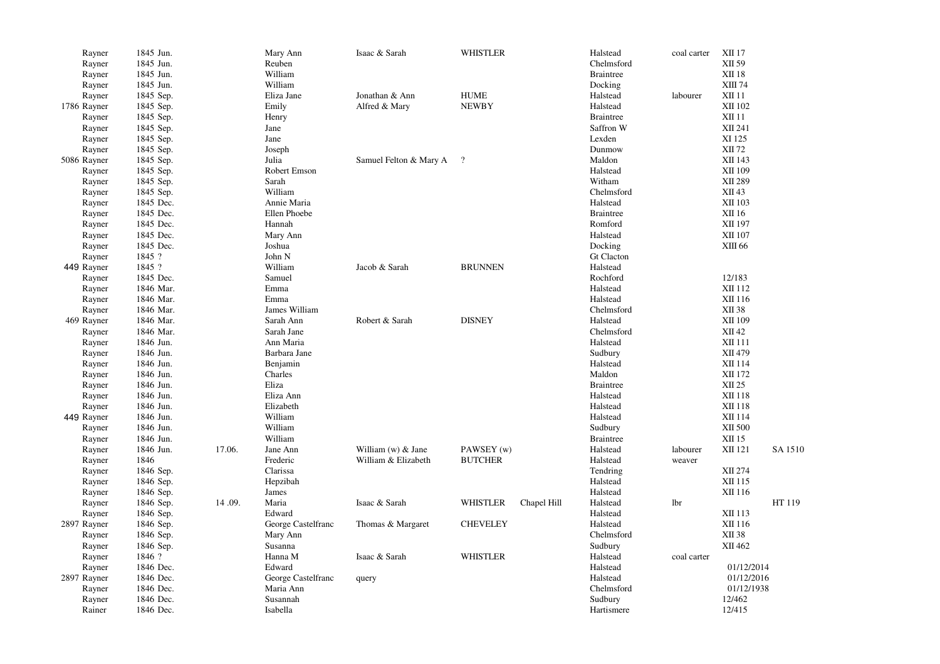| Rayner<br>Rayner<br>Rayner<br>Rayner | 1845 Jun.<br>1845 Jun.<br>1845 Jun.<br>1845 Jun. |        | Mary Ann<br>Reuben<br>William<br>William | Isaac & Sarah          | <b>WHISTLER</b> |             | Halstead<br>Chelmsford<br><b>Braintree</b><br>Docking | coal carter | <b>XII17</b><br>XII 59<br><b>XII 18</b><br>XIII 74 |         |
|--------------------------------------|--------------------------------------------------|--------|------------------------------------------|------------------------|-----------------|-------------|-------------------------------------------------------|-------------|----------------------------------------------------|---------|
| Rayner                               | 1845 Sep.                                        |        | Eliza Jane                               | Jonathan & Ann         | <b>HUME</b>     |             | Halstead                                              | labourer    | XII 11                                             |         |
| 1786 Rayner                          | 1845 Sep.                                        |        | Emily                                    | Alfred & Mary          | <b>NEWBY</b>    |             | Halstead                                              |             | XII 102                                            |         |
| Rayner                               | 1845 Sep.                                        |        | Henry                                    |                        |                 |             | <b>Braintree</b>                                      |             | <b>XII 11</b>                                      |         |
| Rayner                               | 1845 Sep.                                        |        | Jane                                     |                        |                 |             | Saffron W                                             |             | XII 241                                            |         |
| Rayner                               | 1845 Sep.                                        |        | Jane                                     |                        |                 |             | Lexden                                                |             | XI 125                                             |         |
| Rayner                               | 1845 Sep.                                        |        | Joseph                                   |                        |                 |             | Dunmow                                                |             | XII 72                                             |         |
| 5086 Rayner                          | 1845 Sep.                                        |        | Julia                                    | Samuel Felton & Mary A | $\cdot$ ?       |             | Maldon                                                |             | XII 143                                            |         |
| Rayner                               | 1845 Sep.                                        |        | Robert Emson                             |                        |                 |             | Halstead                                              |             | XII 109                                            |         |
| Rayner                               | 1845 Sep.                                        |        | Sarah                                    |                        |                 |             | Witham                                                |             | XII 289                                            |         |
| Rayner                               | 1845 Sep.                                        |        | William                                  |                        |                 |             | Chelmsford                                            |             | XII 43                                             |         |
| Rayner                               | 1845 Dec.                                        |        | Annie Maria                              |                        |                 |             | Halstead                                              |             | XII 103                                            |         |
| Rayner                               | 1845 Dec.                                        |        | Ellen Phoebe                             |                        |                 |             | <b>Braintree</b>                                      |             | XII 16                                             |         |
|                                      | 1845 Dec.                                        |        | Hannah                                   |                        |                 |             | Romford                                               |             |                                                    |         |
| Rayner                               | 1845 Dec.                                        |        |                                          |                        |                 |             |                                                       |             | XII 197<br>XII 107                                 |         |
| Rayner                               |                                                  |        | Mary Ann                                 |                        |                 |             | Halstead                                              |             |                                                    |         |
| Rayner                               | 1845 Dec.                                        |        | Joshua                                   |                        |                 |             | Docking                                               |             | XIII 66                                            |         |
| Rayner                               | 1845 ?                                           |        | John N                                   |                        |                 |             | <b>Gt Clacton</b>                                     |             |                                                    |         |
| 449 Rayner                           | 1845 ?                                           |        | William                                  | Jacob & Sarah          | <b>BRUNNEN</b>  |             | Halstead                                              |             |                                                    |         |
| Rayner                               | 1845 Dec.                                        |        | Samuel                                   |                        |                 |             | Rochford                                              |             | 12/183                                             |         |
| Rayner                               | 1846 Mar.                                        |        | Emma                                     |                        |                 |             | Halstead                                              |             | XII 112                                            |         |
| Rayner                               | 1846 Mar.                                        |        | Emma                                     |                        |                 |             | Halstead                                              |             | XII 116                                            |         |
| Rayner                               | 1846 Mar.                                        |        | James William                            |                        |                 |             | Chelmsford                                            |             | XII 38                                             |         |
| 469 Rayner                           | 1846 Mar.                                        |        | Sarah Ann                                | Robert & Sarah         | <b>DISNEY</b>   |             | Halstead                                              |             | XII 109                                            |         |
| Rayner                               | 1846 Mar.                                        |        | Sarah Jane                               |                        |                 |             | Chelmsford                                            |             | XII 42                                             |         |
| Rayner                               | 1846 Jun.                                        |        | Ann Maria                                |                        |                 |             | Halstead                                              |             | XII 111                                            |         |
| Rayner                               | 1846 Jun.                                        |        | Barbara Jane                             |                        |                 |             | Sudbury                                               |             | XII 479                                            |         |
| Rayner                               | 1846 Jun.                                        |        | Benjamin                                 |                        |                 |             | Halstead                                              |             | XII 114                                            |         |
| Rayner                               | 1846 Jun.                                        |        | Charles                                  |                        |                 |             | Maldon                                                |             | XII 172                                            |         |
| Rayner                               | 1846 Jun.                                        |        | Eliza                                    |                        |                 |             | <b>Braintree</b>                                      |             | XII 25                                             |         |
| Rayner                               | 1846 Jun.                                        |        | Eliza Ann                                |                        |                 |             | Halstead                                              |             | XII 118                                            |         |
| Rayner                               | 1846 Jun.                                        |        | Elizabeth                                |                        |                 |             | Halstead                                              |             | XII 118                                            |         |
| 449 Rayner                           | 1846 Jun.                                        |        | William                                  |                        |                 |             | Halstead                                              |             | XII 114                                            |         |
| Rayner                               | 1846 Jun.                                        |        | William                                  |                        |                 |             | Sudbury                                               |             | XII 500                                            |         |
| Rayner                               | 1846 Jun.                                        |        | William                                  |                        |                 |             | <b>Braintree</b>                                      |             | $\rm{XII}$ 15                                      |         |
| Rayner                               | 1846 Jun.                                        | 17.06. | Jane Ann                                 | William (w) & Jane     | PAWSEY (w)      |             | Halstead                                              | labourer    | XII 121                                            | SA 1510 |
| Rayner                               | 1846                                             |        | Frederic                                 | William & Elizabeth    | <b>BUTCHER</b>  |             | Halstead                                              | weaver      |                                                    |         |
| Rayner                               | 1846 Sep.                                        |        | Clarissa                                 |                        |                 |             | Tendring                                              |             | XII 274                                            |         |
| Rayner                               | 1846 Sep.                                        |        | Hepzibah                                 |                        |                 |             | Halstead                                              |             | XII 115                                            |         |
| Rayner                               | 1846 Sep.                                        |        | James                                    |                        |                 |             | Halstead                                              |             | XII 116                                            |         |
| Rayner                               | 1846 Sep.                                        | 14.09. | Maria                                    | Isaac & Sarah          | <b>WHISTLER</b> | Chapel Hill | Halstead                                              | lbr         |                                                    | HT 119  |
| Rayner                               | 1846 Sep.                                        |        | Edward                                   |                        |                 |             | Halstead                                              |             | XII 113                                            |         |
| 2897 Rayner                          | 1846 Sep.                                        |        | George Castelfranc                       | Thomas & Margaret      | <b>CHEVELEY</b> |             | Halstead                                              |             | XII 116                                            |         |
| Rayner                               | 1846 Sep.                                        |        | Mary Ann                                 |                        |                 |             | Chelmsford                                            |             | XII 38                                             |         |
| Rayner                               | 1846 Sep.                                        |        | Susanna                                  |                        |                 |             | Sudbury                                               |             | XII 462                                            |         |
| Rayner                               | 1846 ?                                           |        | Hanna M                                  | Isaac & Sarah          | <b>WHISTLER</b> |             | Halstead                                              | coal carter |                                                    |         |
| Rayner                               | 1846 Dec.                                        |        | Edward                                   |                        |                 |             | Halstead                                              |             | 01/12/2014                                         |         |
| 2897 Rayner                          | 1846 Dec.                                        |        | George Castelfranc                       | query                  |                 |             | Halstead                                              |             | 01/12/2016                                         |         |
| Rayner                               | 1846 Dec.                                        |        | Maria Ann                                |                        |                 |             | Chelmsford                                            |             | 01/12/1938                                         |         |
| Rayner                               | 1846 Dec.                                        |        | Susannah                                 |                        |                 |             | Sudbury                                               |             | 12/462                                             |         |
| Rainer                               | 1846 Dec.                                        |        | Isabella                                 |                        |                 |             | Hartismere                                            |             | 12/415                                             |         |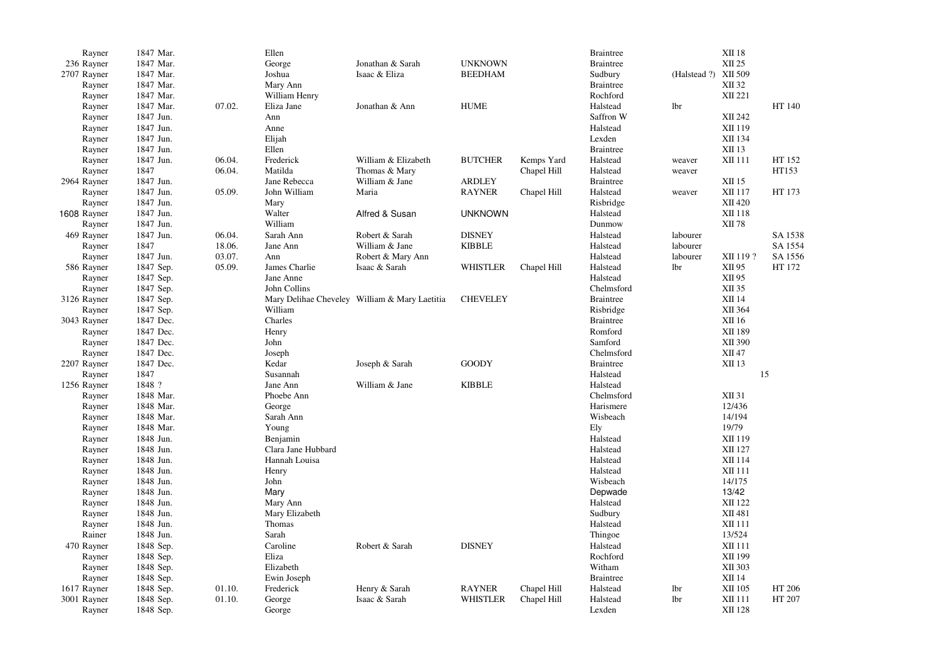| Rayner      | 1847 Mar. |        | Ellen              |                                               |                 |             | <b>Braintree</b> |                      | <b>XII 18</b> |         |
|-------------|-----------|--------|--------------------|-----------------------------------------------|-----------------|-------------|------------------|----------------------|---------------|---------|
| 236 Rayner  | 1847 Mar. |        | George             | Jonathan & Sarah                              | <b>UNKNOWN</b>  |             | <b>Braintree</b> |                      | XII 25        |         |
| 2707 Rayner | 1847 Mar. |        | Joshua             | Isaac & Eliza                                 | <b>BEEDHAM</b>  |             | Sudbury          | (Halstead ?) XII 509 |               |         |
| Rayner      | 1847 Mar. |        | Mary Ann           |                                               |                 |             | <b>Braintree</b> |                      | XII 32        |         |
| Rayner      | 1847 Mar. |        | William Henry      |                                               |                 |             | Rochford         |                      | XII 221       |         |
| Rayner      | 1847 Mar. | 07.02. | Eliza Jane         | Jonathan & Ann                                | <b>HUME</b>     |             | Halstead         | lbr                  |               | HT 140  |
| Rayner      | 1847 Jun. |        | Ann                |                                               |                 |             | Saffron W        |                      | XII 242       |         |
| Rayner      | 1847 Jun. |        | Anne               |                                               |                 |             | Halstead         |                      | XII 119       |         |
| Rayner      | 1847 Jun. |        | Elijah             |                                               |                 |             | Lexden           |                      | XII 134       |         |
| Rayner      | 1847 Jun. |        | Ellen              |                                               |                 |             | <b>Braintree</b> |                      | XII 13        |         |
| Rayner      | 1847 Jun. | 06.04. | Frederick          | William & Elizabeth                           | <b>BUTCHER</b>  | Kemps Yard  | Halstead         | weaver               | XII 111       | HT 152  |
| Rayner      | 1847      | 06.04. | Matilda            | Thomas & Mary                                 |                 | Chapel Hill | Halstead         | weaver               |               | HT153   |
| 2964 Rayner | 1847 Jun. |        | Jane Rebecca       | William & Jane                                | ARDLEY          |             | <b>Braintree</b> |                      | XII 15        |         |
|             |           |        |                    |                                               |                 |             |                  |                      |               |         |
| Rayner      | 1847 Jun. | 05.09. | John William       | Maria                                         | <b>RAYNER</b>   | Chapel Hill | Halstead         | weaver               | XII 117       | HT 173  |
| Rayner      | 1847 Jun. |        | Mary               |                                               |                 |             | Risbridge        |                      | XII 420       |         |
| 1608 Rayner | 1847 Jun. |        | Walter             | Alfred & Susan                                | <b>UNKNOWN</b>  |             | Halstead         |                      | XII 118       |         |
| Rayner      | 1847 Jun. |        | William            |                                               |                 |             | Dunmow           |                      | XII 78        |         |
| 469 Rayner  | 1847 Jun. | 06.04. | Sarah Ann          | Robert & Sarah                                | <b>DISNEY</b>   |             | Halstead         | labourer             |               | SA 1538 |
| Rayner      | 1847      | 18.06. | Jane Ann           | William & Jane                                | <b>KIBBLE</b>   |             | Halstead         | labourer             |               | SA 1554 |
| Rayner      | 1847 Jun. | 03.07. | Ann                | Robert & Mary Ann                             |                 |             | Halstead         | labourer             | XII 119?      | SA 1556 |
| 586 Rayner  | 1847 Sep. | 05.09. | James Charlie      | Isaac & Sarah                                 | <b>WHISTLER</b> | Chapel Hill | Halstead         | <b>lbr</b>           | XII 95        | HT 172  |
| Rayner      | 1847 Sep. |        | Jane Anne          |                                               |                 |             | Halstead         |                      | XII 95        |         |
| Rayner      | 1847 Sep. |        | John Collins       |                                               |                 |             | Chelmsford       |                      | XII 35        |         |
| 3126 Rayner | 1847 Sep. |        |                    | Mary Delihae Cheveley William & Mary Laetitia | <b>CHEVELEY</b> |             | <b>Braintree</b> |                      | XII 14        |         |
| Rayner      | 1847 Sep. |        | William            |                                               |                 |             | Risbridge        |                      | XII 364       |         |
| 3043 Rayner | 1847 Dec. |        | Charles            |                                               |                 |             | <b>Braintree</b> |                      | XII 16        |         |
| Rayner      | 1847 Dec. |        | Henry              |                                               |                 |             | Romford          |                      | XII 189       |         |
| Rayner      | 1847 Dec. |        | John               |                                               |                 |             | Samford          |                      | XII 390       |         |
| Rayner      | 1847 Dec. |        | Joseph             |                                               |                 |             | Chelmsford       |                      | XII 47        |         |
| 2207 Rayner | 1847 Dec. |        | Kedar              | Joseph & Sarah                                | <b>GOODY</b>    |             | <b>Braintree</b> |                      | XII 13        |         |
| Rayner      | 1847      |        | Susannah           |                                               |                 |             | Halstead         |                      |               | 15      |
| 1256 Rayner | 1848 ?    |        | Jane Ann           | William & Jane                                | <b>KIBBLE</b>   |             | Halstead         |                      |               |         |
| Rayner      | 1848 Mar. |        | Phoebe Ann         |                                               |                 |             | Chelmsford       |                      | XII 31        |         |
| Rayner      | 1848 Mar. |        | George             |                                               |                 |             | Harismere        |                      | 12/436        |         |
| Rayner      | 1848 Mar. |        | Sarah Ann          |                                               |                 |             | Wisbeach         |                      | 14/194        |         |
|             |           |        |                    |                                               |                 |             |                  |                      |               |         |
| Rayner      | 1848 Mar. |        | Young              |                                               |                 |             | Ely              |                      | 19/79         |         |
| Rayner      | 1848 Jun. |        | Benjamin           |                                               |                 |             | Halstead         |                      | XII 119       |         |
| Rayner      | 1848 Jun. |        | Clara Jane Hubbard |                                               |                 |             | Halstead         |                      | XII 127       |         |
| Rayner      | 1848 Jun. |        | Hannah Louisa      |                                               |                 |             | Halstead         |                      | XII 114       |         |
| Rayner      | 1848 Jun. |        | Henry              |                                               |                 |             | Halstead         |                      | XII 111       |         |
| Rayner      | 1848 Jun. |        | John               |                                               |                 |             | Wisbeach         |                      | 14/175        |         |
| Rayner      | 1848 Jun. |        | Mary               |                                               |                 |             | Depwade          |                      | 13/42         |         |
| Rayner      | 1848 Jun. |        | Mary Ann           |                                               |                 |             | Halstead         |                      | XII 122       |         |
| Rayner      | 1848 Jun. |        | Mary Elizabeth     |                                               |                 |             | Sudbury          |                      | XII 481       |         |
| Rayner      | 1848 Jun. |        | Thomas             |                                               |                 |             | Halstead         |                      | XII 111       |         |
| Rainer      | 1848 Jun. |        | Sarah              |                                               |                 |             | Thingoe          |                      | 13/524        |         |
| 470 Rayner  | 1848 Sep. |        | Caroline           | Robert & Sarah                                | <b>DISNEY</b>   |             | Halstead         |                      | XII 111       |         |
| Rayner      | 1848 Sep. |        | Eliza              |                                               |                 |             | Rochford         |                      | XII 199       |         |
| Rayner      | 1848 Sep. |        | Elizabeth          |                                               |                 |             | Witham           |                      | XII 303       |         |
| Rayner      | 1848 Sep. |        | Ewin Joseph        |                                               |                 |             | <b>Braintree</b> |                      | XII 14        |         |
| 1617 Rayner | 1848 Sep. | 01.10. | Frederick          | Henry & Sarah                                 | <b>RAYNER</b>   | Chapel Hill | Halstead         | lbr                  | XII 105       | HT 206  |
| 3001 Rayner | 1848 Sep. | 01.10. | George             | Isaac & Sarah                                 | <b>WHISTLER</b> | Chapel Hill | Halstead         | <b>lbr</b>           | XII 111       | HT 207  |
| Rayner      | 1848 Sep. |        | George             |                                               |                 |             | Lexden           |                      | XII 128       |         |
|             |           |        |                    |                                               |                 |             |                  |                      |               |         |